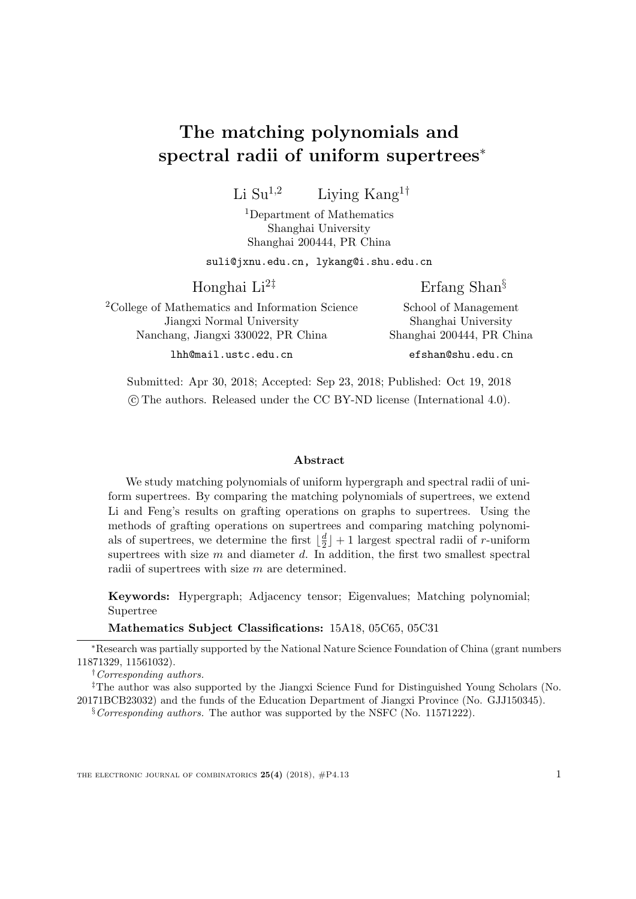# The matching polynomials and spectral radii of uniform supertrees<sup>∗</sup>

Li Su<sup>1,2</sup> Living Kang<sup>1†</sup>

<sup>1</sup>Department of Mathematics Shanghai University Shanghai 200444, PR China

suli@jxnu.edu.cn, lykang@i.shu.edu.cn

Honghai Li<sup>2‡</sup>

Erfang Shan§

School of Management

<sup>2</sup>College of Mathematics and Information Science Jiangxi Normal University Nanchang, Jiangxi 330022, PR China

lhh@mail.ustc.edu.cn

Shanghai University Shanghai 200444, PR China efshan@shu.edu.cn

Submitted: Apr 30, 2018; Accepted: Sep 23, 2018; Published: Oct 19, 2018 c The authors. Released under the CC BY-ND license (International 4.0).

#### Abstract

We study matching polynomials of uniform hypergraph and spectral radii of uniform supertrees. By comparing the matching polynomials of supertrees, we extend Li and Feng's results on grafting operations on graphs to supertrees. Using the methods of grafting operations on supertrees and comparing matching polynomials of supertrees, we determine the first  $\lfloor \frac{d}{2} \rfloor + 1$  largest spectral radii of r-uniform supertrees with size  $m$  and diameter  $d$ . In addition, the first two smallest spectral radii of supertrees with size m are determined.

Keywords: Hypergraph; Adjacency tensor; Eigenvalues; Matching polynomial; Supertree

Mathematics Subject Classifications: 15A18, 05C65, 05C31

 $\S$ Corresponding authors. The author was supported by the NSFC (No. 11571222).

<sup>∗</sup>Research was partially supported by the National Nature Science Foundation of China (grant numbers 11871329, 11561032).

<sup>†</sup>Corresponding authors.

<sup>‡</sup>The author was also supported by the Jiangxi Science Fund for Distinguished Young Scholars (No. 20171BCB23032) and the funds of the Education Department of Jiangxi Province (No. GJJ150345).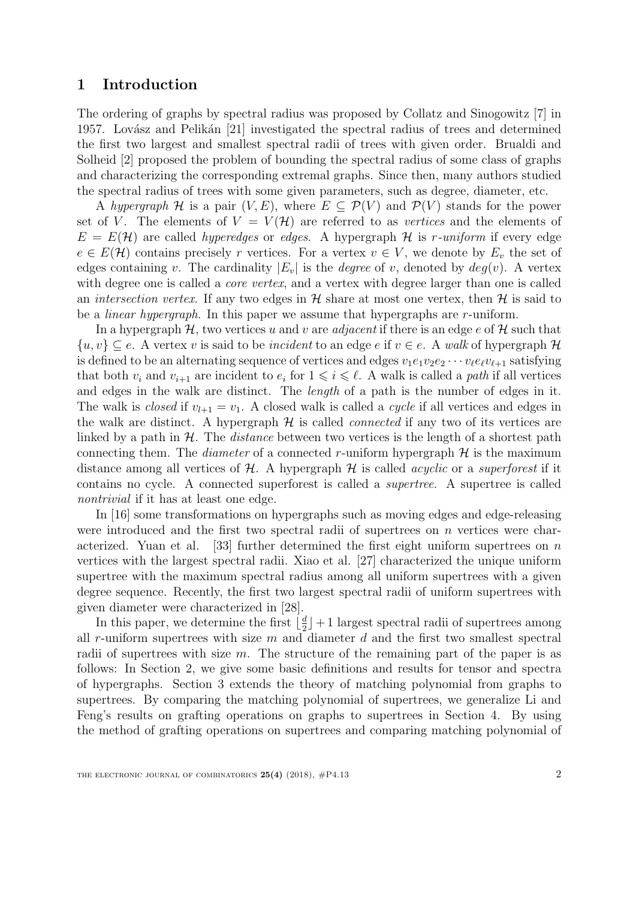# 1 Introduction

The ordering of graphs by spectral radius was proposed by Collatz and Sinogowitz [\[7\]](#page-22-0) in 1957. Lovász and Pelikán [\[21\]](#page-22-1) investigated the spectral radius of trees and determined the first two largest and smallest spectral radii of trees with given order. Brualdi and Solheid [\[2\]](#page-21-0) proposed the problem of bounding the spectral radius of some class of graphs and characterizing the corresponding extremal graphs. Since then, many authors studied the spectral radius of trees with some given parameters, such as degree, diameter, etc.

A hypergraph H is a pair  $(V, E)$ , where  $E \subseteq \mathcal{P}(V)$  and  $\mathcal{P}(V)$  stands for the power set of V. The elements of  $V = V(\mathcal{H})$  are referred to as vertices and the elements of  $E = E(\mathcal{H})$  are called *hyperedges* or *edges*. A hypergraph  $\mathcal{H}$  is r-uniform if every edge  $e \in E(\mathcal{H})$  contains precisely r vertices. For a vertex  $v \in V$ , we denote by  $E_v$  the set of edges containing v. The cardinality  $|E_v|$  is the *degree* of v, denoted by  $deg(v)$ . A vertex with degree one is called a *core vertex*, and a vertex with degree larger than one is called an *intersection vertex*. If any two edges in  $\mathcal{H}$  share at most one vertex, then  $\mathcal{H}$  is said to be a linear hypergraph. In this paper we assume that hypergraphs are r-uniform.

In a hypergraph  $H$ , two vertices u and v are *adjacent* if there is an edge e of  $H$  such that  $\{u, v\} \subseteq e$ . A vertex v is said to be *incident* to an edge e if  $v \in e$ . A walk of hypergraph H is defined to be an alternating sequence of vertices and edges  $v_1e_1v_2e_2\cdots v_\ell e_\ell v_{\ell+1}$  satisfying that both  $v_i$  and  $v_{i+1}$  are incident to  $e_i$  for  $1 \leq i \leq \ell$ . A walk is called a *path* if all vertices and edges in the walk are distinct. The length of a path is the number of edges in it. The walk is *closed* if  $v_{l+1} = v_1$ . A closed walk is called a *cycle* if all vertices and edges in the walk are distinct. A hypergraph  $H$  is called *connected* if any two of its vertices are linked by a path in  $H$ . The *distance* between two vertices is the length of a shortest path connecting them. The *diameter* of a connected r-uniform hypergraph  $H$  is the maximum distance among all vertices of  $H$ . A hypergraph  $H$  is called *acyclic* or a *superforest* if it contains no cycle. A connected superforest is called a supertree. A supertree is called nontrivial if it has at least one edge.

In [\[16\]](#page-22-2) some transformations on hypergraphs such as moving edges and edge-releasing were introduced and the first two spectral radii of supertrees on  $n$  vertices were char-acterized. Yuan et al. [\[33\]](#page-23-0) further determined the first eight uniform supertrees on  $n$ vertices with the largest spectral radii. Xiao et al. [\[27\]](#page-23-1) characterized the unique uniform supertree with the maximum spectral radius among all uniform supertrees with a given degree sequence. Recently, the first two largest spectral radii of uniform supertrees with given diameter were characterized in [\[28\]](#page-23-2).

In this paper, we determine the first  $\lfloor \frac{d}{2} \rfloor$  $\frac{a}{2}$  + 1 largest spectral radii of supertrees among all r-uniform supertrees with size  $m$  and diameter  $d$  and the first two smallest spectral radii of supertrees with size  $m$ . The structure of the remaining part of the paper is as follows: In Section 2, we give some basic definitions and results for tensor and spectra of hypergraphs. Section 3 extends the theory of matching polynomial from graphs to supertrees. By comparing the matching polynomial of supertrees, we generalize Li and Feng's results on grafting operations on graphs to supertrees in Section 4. By using the method of grafting operations on supertrees and comparing matching polynomial of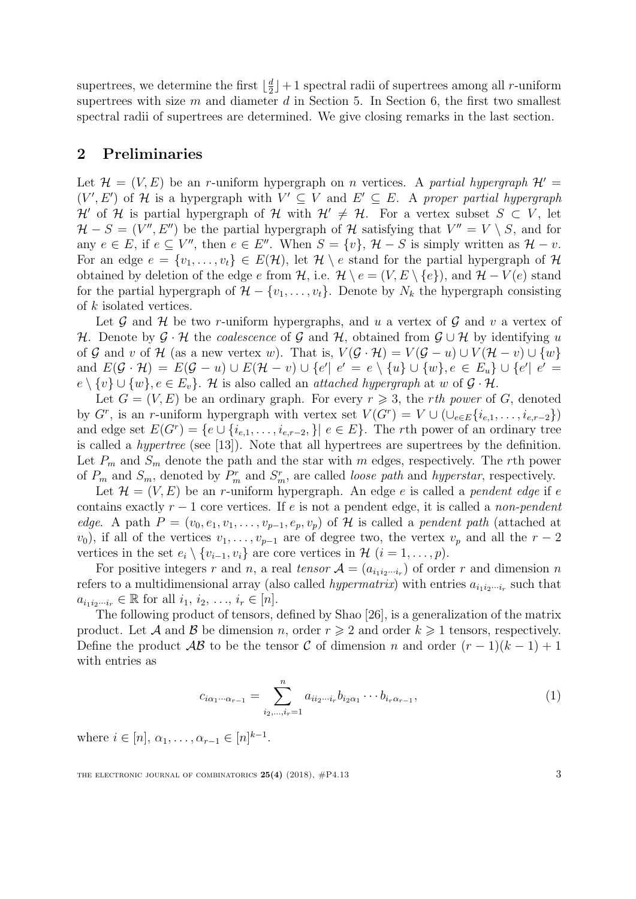supertrees, we determine the first  $\lfloor \frac{d}{2} \rfloor$  $\frac{a}{2}$  + 1 spectral radii of supertrees among all r-uniform supertrees with size  $m$  and diameter  $d$  in Section 5. In Section 6, the first two smallest spectral radii of supertrees are determined. We give closing remarks in the last section.

### 2 Preliminaries

Let  $\mathcal{H} = (V, E)$  be an r-uniform hypergraph on n vertices. A partial hypergraph  $\mathcal{H}' =$  $(V', E')$  of H is a hypergraph with  $V' \subseteq V$  and  $E' \subseteq E$ . A proper partial hypergraph H' of H is partial hypergraph of H with  $\mathcal{H}' \neq \mathcal{H}$ . For a vertex subset  $S \subset V$ , let  $\mathcal{H} - S = (V'', E'')$  be the partial hypergraph of  $\mathcal{H}$  satisfying that  $V'' = V \setminus S$ , and for any  $e \in E$ , if  $e \subseteq V''$ , then  $e \in E''$ . When  $S = \{v\}$ ,  $\mathcal{H} - S$  is simply written as  $\mathcal{H} - v$ . For an edge  $e = \{v_1, \ldots, v_t\} \in E(\mathcal{H})$ , let  $\mathcal{H} \setminus e$  stand for the partial hypergraph of  $\mathcal{H}$ obtained by deletion of the edge e from H, i.e.  $\mathcal{H} \setminus e = (V, E \setminus \{e\})$ , and  $\mathcal{H} - V(e)$  stand for the partial hypergraph of  $\mathcal{H} - \{v_1, \ldots, v_t\}$ . Denote by  $N_k$  the hypergraph consisting of k isolated vertices.

Let  $\mathcal G$  and  $\mathcal H$  be two r-uniform hypergraphs, and u a vertex of  $\mathcal G$  and v a vertex of H. Denote by  $\mathcal{G} \cdot \mathcal{H}$  the *coalescence* of  $\mathcal{G}$  and  $\mathcal{H}$ , obtained from  $\mathcal{G} \cup \mathcal{H}$  by identifying u of G and v of H (as a new vertex w). That is,  $V(\mathcal{G} \cdot \mathcal{H}) = V(\mathcal{G} - u) \cup V(\mathcal{H} - v) \cup \{w\}$ and  $E(G \cdot \mathcal{H}) = E(G - u) \cup E(\mathcal{H} - v) \cup \{e' \mid e' = e \setminus \{u\} \cup \{w\}, e \in E_u\} \cup \{e' \mid e' = e\})$  $e \setminus \{v\} \cup \{w\}, e \in E_v$ . H is also called an *attached hypergraph* at w of  $\mathcal{G} \cdot \mathcal{H}$ .

Let  $G = (V, E)$  be an ordinary graph. For every  $r \geq 3$ , the rth power of G, denoted by  $G^r$ , is an r-uniform hypergraph with vertex set  $V(G^r) = V \cup (\cup_{e \in E} \{i_{e,1}, \ldots, i_{e,r-2}\})$ and edge set  $E(G^r) = \{e \cup \{i_{e,1}, \ldots, i_{e,r-2}, \} | e \in E\}$ . The rth power of an ordinary tree is called a hypertree (see [\[13\]](#page-22-3)). Note that all hypertrees are supertrees by the definition. Let  $P_m$  and  $S_m$  denote the path and the star with m edges, respectively. The rth power of  $P_m$  and  $S_m$ , denoted by  $P_m^r$  and  $S_m^r$ , are called *loose path* and *hyperstar*, respectively.

Let  $\mathcal{H} = (V, E)$  be an r-uniform hypergraph. An edge e is called a pendent edge if e contains exactly  $r - 1$  core vertices. If e is not a pendent edge, it is called a non-pendent edge. A path  $P = (v_0, e_1, v_1, \ldots, v_{p-1}, e_p, v_p)$  of H is called a pendent path (attached at  $(v_0)$ , if all of the vertices  $v_1, \ldots, v_{p-1}$  are of degree two, the vertex  $v_p$  and all the  $r-2$ vertices in the set  $e_i \setminus \{v_{i-1}, v_i\}$  are core vertices in  $\mathcal{H}$   $(i = 1, \ldots, p)$ .

For positive integers r and n, a real tensor  $A = (a_{i_1 i_2 \cdots i_r})$  of order r and dimension n refers to a multidimensional array (also called *hypermatrix*) with entries  $a_{i_1 i_2 \cdots i_r}$  such that  $a_{i_1 i_2 \cdots i_r} \in \mathbb{R}$  for all  $i_1, i_2, \ldots, i_r \in [n]$ .

The following product of tensors, defined by Shao [\[26\]](#page-23-3), is a generalization of the matrix product. Let A and B be dimension n, order  $r \geqslant 2$  and order  $k \geqslant 1$  tensors, respectively. Define the product  $\mathcal{AB}$  to be the tensor C of dimension n and order  $(r-1)(k-1)+1$ with entries as

<span id="page-2-0"></span>
$$
c_{i\alpha_1\cdots\alpha_{r-1}} = \sum_{i_2,\ldots,i_r=1}^n a_{ii_2\cdots i_r} b_{i_2\alpha_1} \cdots b_{i_r\alpha_{r-1}},
$$
\n(1)

where  $i \in [n], \alpha_1, \ldots, \alpha_{r-1} \in [n]^{k-1}$ .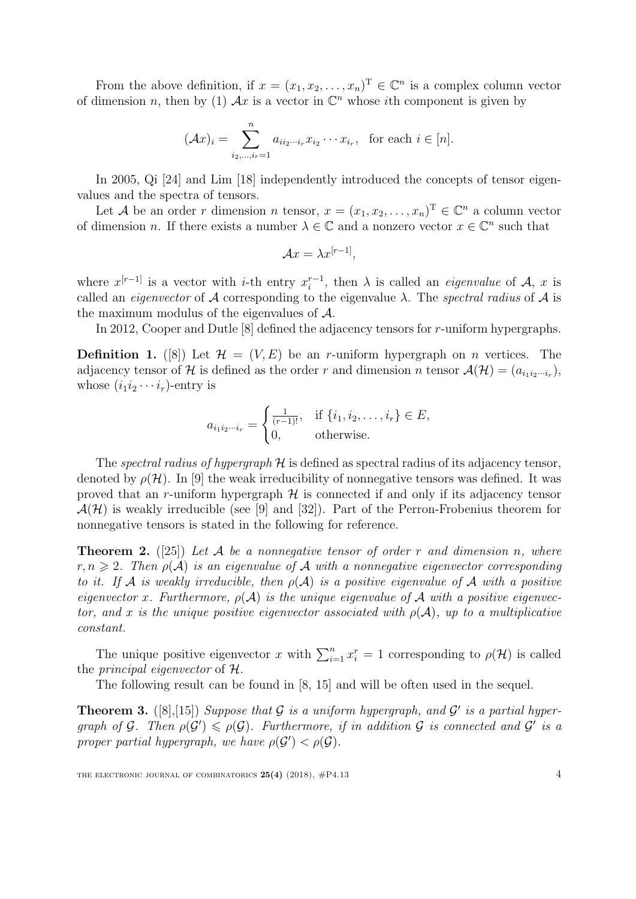From the above definition, if  $x = (x_1, x_2, \dots, x_n)^\mathrm{T} \in \mathbb{C}^n$  is a complex column vector of dimension *n*, then by [\(1\)](#page-2-0)  $\mathcal{A}x$  is a vector in  $\mathbb{C}^n$  whose *i*th component is given by

$$
(\mathcal{A}x)_i = \sum_{i_2,\dots,i_r=1}^n a_{ii_2\cdots i_r} x_{i_2} \cdots x_{i_r}, \text{ for each } i \in [n].
$$

In 2005, Qi [\[24\]](#page-23-4) and Lim [\[18\]](#page-22-4) independently introduced the concepts of tensor eigenvalues and the spectra of tensors.

Let A be an order r dimension n tensor,  $x = (x_1, x_2, \ldots, x_n)^\mathrm{T} \in \mathbb{C}^n$  a column vector of dimension *n*. If there exists a number  $\lambda \in \mathbb{C}$  and a nonzero vector  $x \in \mathbb{C}^n$  such that

$$
\mathcal{A}x = \lambda x^{[r-1]},
$$

where  $x^{[r-1]}$  is a vector with *i*-th entry  $x_i^{r-1}$  $i^{r-1}$ , then  $\lambda$  is called an *eigenvalue* of  $\mathcal{A}, x$  is called an *eigenvector* of A corresponding to the eigenvalue  $\lambda$ . The *spectral radius* of A is the maximum modulus of the eigenvalues of A.

In 2012, Cooper and Dutle [\[8\]](#page-22-5) defined the adjacency tensors for r-uniform hypergraphs.

**Definition 1.** ([\[8\]](#page-22-5)) Let  $\mathcal{H} = (V, E)$  be an r-uniform hypergraph on n vertices. The adjacency tensor of H is defined as the order r and dimension n tensor  $\mathcal{A}(\mathcal{H}) = (a_{i_1 i_2 \cdots i_r}),$ whose  $(i_1i_2\cdots i_r)$ -entry is

$$
a_{i_1 i_2 \cdots i_r} = \begin{cases} \frac{1}{(r-1)!}, & \text{if } \{i_1, i_2, \ldots, i_r\} \in E, \\ 0, & \text{otherwise.} \end{cases}
$$

The spectral radius of hypergraph  $H$  is defined as spectral radius of its adjacency tensor, denoted by  $\rho(\mathcal{H})$ . In [\[9\]](#page-22-6) the weak irreducibility of nonnegative tensors was defined. It was proved that an r-uniform hypergraph  $H$  is connected if and only if its adjacency tensor  $\mathcal{A}(\mathcal{H})$  is weakly irreducible (see [\[9\]](#page-22-6) and [\[32\]](#page-23-5)). Part of the Perron-Frobenius theorem for nonnegative tensors is stated in the following for reference.

**Theorem 2.** ([\[25\]](#page-23-6)) Let A be a nonnegative tensor of order r and dimension n, where  $r, n \geqslant 2$ . Then  $\rho(\mathcal{A})$  is an eigenvalue of  $\mathcal A$  with a nonnegative eigenvector corresponding to it. If A is weakly irreducible, then  $\rho(A)$  is a positive eigenvalue of A with a positive eigenvector x. Furthermore,  $\rho(A)$  is the unique eigenvalue of A with a positive eigenvector, and x is the unique positive eigenvector associated with  $\rho(\mathcal{A})$ , up to a multiplicative constant.

The unique positive eigenvector x with  $\sum_{i=1}^{n} x_i^r = 1$  corresponding to  $\rho(\mathcal{H})$  is called the principal eigenvector of H.

The following result can be found in [\[8,](#page-22-5) [15\]](#page-22-7) and will be often used in the sequel.

<span id="page-3-0"></span>**Theorem 3.** ([\[8\]](#page-22-5), [\[15\]](#page-22-7)) Suppose that G is a uniform hypergraph, and G' is a partial hypergraph of G. Then  $\rho(G') \leq \rho(G)$ . Furthermore, if in addition G is connected and G' is a proper partial hypergraph, we have  $\rho(\mathcal{G}') < \rho(\mathcal{G})$ .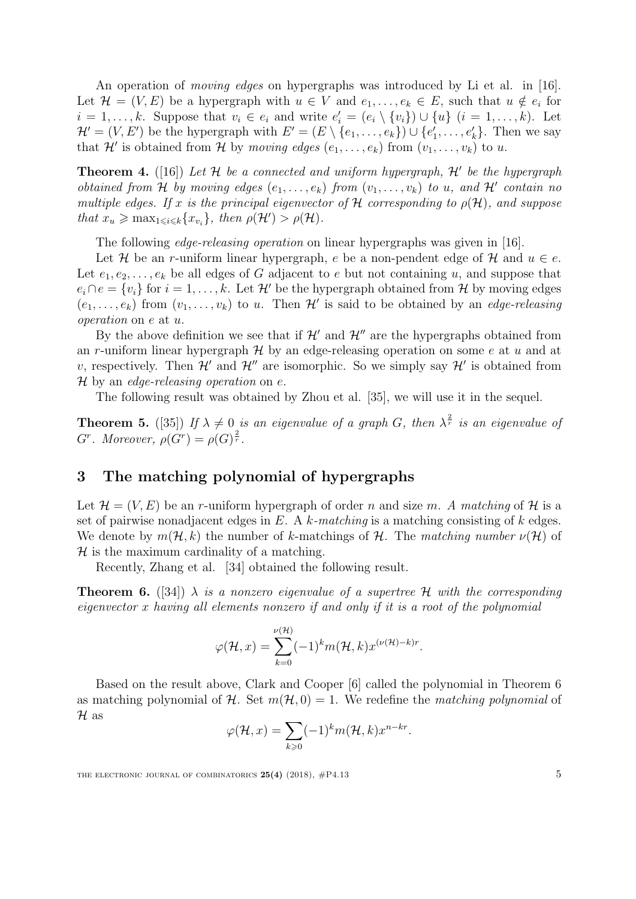An operation of *moving edges* on hypergraphs was introduced by Li et al. in [\[16\]](#page-22-2). Let  $\mathcal{H} = (V, E)$  be a hypergraph with  $u \in V$  and  $e_1, \ldots, e_k \in E$ , such that  $u \notin e_i$  for  $i = 1, \ldots, k$ . Suppose that  $v_i \in e_i$  and write  $e'_i = (e_i \setminus \{v_i\}) \cup \{u\}$   $(i = 1, \ldots, k)$ . Let  $\mathcal{H}' = (V, E')$  be the hypergraph with  $E' = (E \setminus \{e_1, \ldots, e_k\}) \cup \{e'_1, \ldots, e'_k\}$ . Then we say that H' is obtained from H by moving edges  $(e_1, \ldots, e_k)$  from  $(v_1, \ldots, v_k)$  to u.

<span id="page-4-2"></span>**Theorem 4.** ([\[16\]](#page-22-2)) Let  $H$  be a connected and uniform hypergraph,  $H'$  be the hypergraph obtained from H by moving edges  $(e_1, \ldots, e_k)$  from  $(v_1, \ldots, v_k)$  to u, and H' contain no multiple edges. If x is the principal eigenvector of H corresponding to  $\rho(\mathcal{H})$ , and suppose that  $x_u \ge \max_{1 \le i \le k} \{x_{v_i}\}\$ , then  $\rho(\mathcal{H}') > \rho(\mathcal{H})\$ .

The following *edge-releasing operation* on linear hypergraphs was given in [\[16\]](#page-22-2).

Let H be an r-uniform linear hypergraph, e be a non-pendent edge of H and  $u \in e$ . Let  $e_1, e_2, \ldots, e_k$  be all edges of G adjacent to e but not containing u, and suppose that  $e_i \cap e = \{v_i\}$  for  $i = 1, \ldots, k$ . Let  $\mathcal{H}'$  be the hypergraph obtained from  $\mathcal{H}$  by moving edges  $(e_1, \ldots, e_k)$  from  $(v_1, \ldots, v_k)$  to u. Then  $\mathcal{H}'$  is said to be obtained by an *edge-releasing* operation on e at u.

By the above definition we see that if  $\mathcal{H}'$  and  $\mathcal{H}''$  are the hypergraphs obtained from an r-uniform linear hypergraph  $H$  by an edge-releasing operation on some e at u and at v, respectively. Then  $\mathcal{H}'$  and  $\mathcal{H}''$  are isomorphic. So we simply say  $\mathcal{H}'$  is obtained from H by an edge-releasing operation on  $e$ .

The following result was obtained by Zhou et al. [\[35\]](#page-23-7), we will use it in the sequel.

<span id="page-4-1"></span>**Theorem 5.** ([\[35\]](#page-23-7)) If  $\lambda \neq 0$  is an eigenvalue of a graph G, then  $\lambda^{\frac{2}{r}}$  is an eigenvalue of  $G^r$ . Moreover,  $\rho(G^r) = \rho(G)^{\frac{2}{r}}$ .

# 3 The matching polynomial of hypergraphs

Let  $\mathcal{H} = (V, E)$  be an r-uniform hypergraph of order n and size m. A matching of H is a set of pairwise nonadjacent edges in E. A k-matching is a matching consisting of k edges. We denote by  $m(\mathcal{H}, k)$  the number of k-matchings of H. The matching number  $\nu(\mathcal{H})$  of  $H$  is the maximum cardinality of a matching.

Recently, Zhang et al. [\[34\]](#page-23-8) obtained the following result.

<span id="page-4-0"></span>**Theorem 6.** ([\[34\]](#page-23-8))  $\lambda$  is a nonzero eigenvalue of a supertree H with the corresponding eigenvector x having all elements nonzero if and only if it is a root of the polynomial

$$
\varphi(\mathcal{H},x) = \sum_{k=0}^{\nu(\mathcal{H})} (-1)^k m(\mathcal{H},k) x^{(\nu(\mathcal{H})-k)r}.
$$

Based on the result above, Clark and Cooper [\[6\]](#page-22-8) called the polynomial in Theorem [6](#page-4-0) as matching polynomial of H. Set  $m(H, 0) = 1$ . We redefine the matching polynomial of  $\mathcal H$  as

$$
\varphi(\mathcal{H},x) = \sum_{k\geqslant 0} (-1)^k m(\mathcal{H},k) x^{n-kr}.
$$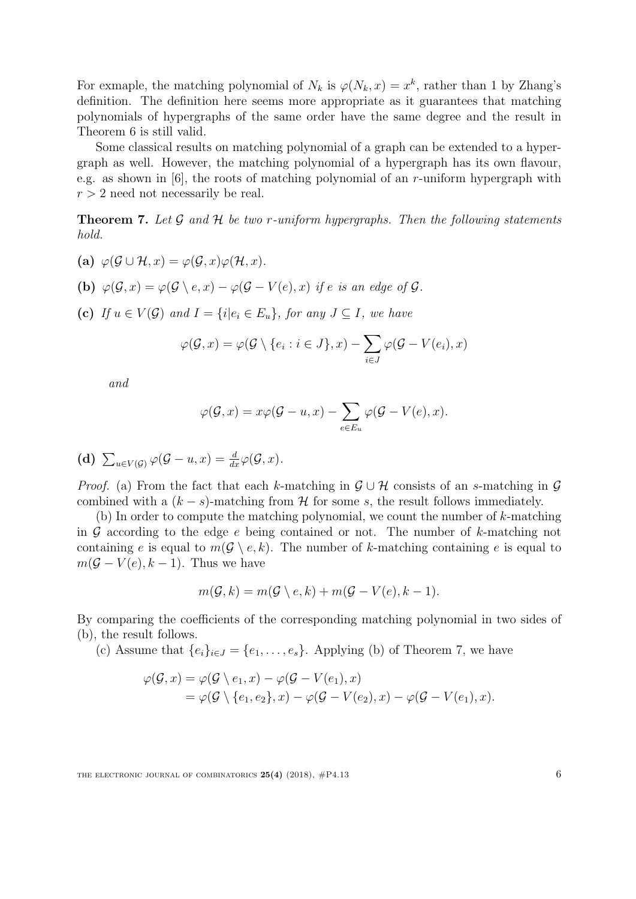For exmaple, the matching polynomial of  $N_k$  is  $\varphi(N_k, x) = x^k$ , rather than 1 by Zhang's definition. The definition here seems more appropriate as it guarantees that matching polynomials of hypergraphs of the same order have the same degree and the result in Theorem [6](#page-4-0) is still valid.

Some classical results on matching polynomial of a graph can be extended to a hypergraph as well. However, the matching polynomial of a hypergraph has its own flavour, e.g. as shown in  $[6]$ , the roots of matching polynomial of an r-uniform hypergraph with  $r > 2$  need not necessarily be real.

<span id="page-5-0"></span>**Theorem 7.** Let  $\mathcal G$  and  $\mathcal H$  be two r-uniform hypergraphs. Then the following statements hold.

- (a)  $\varphi(G \cup \mathcal{H}, x) = \varphi(G, x) \varphi(\mathcal{H}, x)$ .
- (b)  $\varphi(\mathcal{G},x) = \varphi(\mathcal{G} \setminus e,x) \varphi(\mathcal{G} V(e),x)$  if e is an edge of  $\mathcal{G}$ .
- (c) If  $u \in V(G)$  and  $I = \{i | e_i \in E_u\}$ , for any  $J \subseteq I$ , we have

$$
\varphi(\mathcal{G},x) = \varphi(\mathcal{G} \setminus \{e_i : i \in J\},x) - \sum_{i \in J} \varphi(\mathcal{G} - V(e_i),x)
$$

and

$$
\varphi(\mathcal{G},x) = x\varphi(\mathcal{G}-u,x) - \sum_{e \in E_u} \varphi(\mathcal{G}-V(e),x).
$$

(d) 
$$
\sum_{u \in V(\mathcal{G})} \varphi(\mathcal{G} - u, x) = \frac{d}{dx} \varphi(\mathcal{G}, x).
$$

*Proof.* (a) From the fact that each k-matching in  $\mathcal{G} \cup \mathcal{H}$  consists of an s-matching in  $\mathcal{G}$ combined with a  $(k - s)$ -matching from H for some s, the result follows immediately.

(b) In order to compute the matching polynomial, we count the number of k-matching in  $G$  according to the edge e being contained or not. The number of  $k$ -matching not containing e is equal to  $m(\mathcal{G} \setminus e, k)$ . The number of k-matching containing e is equal to  $m(\mathcal{G}-V(e),k-1)$ . Thus we have

$$
m(\mathcal{G},k) = m(\mathcal{G} \setminus e,k) + m(\mathcal{G} - V(e),k-1).
$$

By comparing the coefficients of the corresponding matching polynomial in two sides of (b), the result follows.

(c) Assume that  $\{e_i\}_{i\in J} = \{e_1,\ldots,e_s\}$ . Applying (b) of Theorem [7,](#page-5-0) we have

$$
\varphi(\mathcal{G},x) = \varphi(\mathcal{G} \setminus e_1, x) - \varphi(\mathcal{G} - V(e_1), x)
$$
  
= 
$$
\varphi(\mathcal{G} \setminus \{e_1, e_2\}, x) - \varphi(\mathcal{G} - V(e_2), x) - \varphi(\mathcal{G} - V(e_1), x).
$$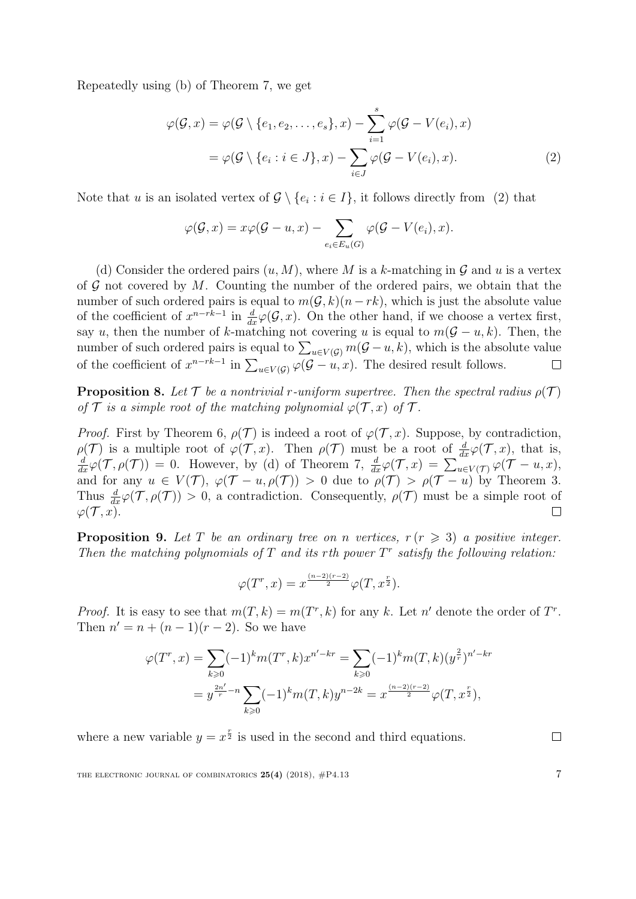Repeatedly using (b) of Theorem [7,](#page-5-0) we get

$$
\varphi(\mathcal{G},x) = \varphi(\mathcal{G} \setminus \{e_1, e_2, \dots, e_s\},x) - \sum_{i=1}^s \varphi(\mathcal{G} - V(e_i),x)
$$

$$
= \varphi(\mathcal{G} \setminus \{e_i : i \in J\},x) - \sum_{i \in J} \varphi(\mathcal{G} - V(e_i),x). \tag{2}
$$

Note that u is an isolated vertex of  $\mathcal{G} \setminus \{e_i : i \in I\}$ , it follows directly from [\(2\)](#page-6-0) that

<span id="page-6-0"></span>
$$
\varphi(\mathcal{G},x) = x\varphi(\mathcal{G}-u,x) - \sum_{e_i \in E_u(G)} \varphi(\mathcal{G}-V(e_i),x).
$$

(d) Consider the ordered pairs  $(u, M)$ , where M is a k-matching in G and u is a vertex of  $G$  not covered by  $M$ . Counting the number of the ordered pairs, we obtain that the number of such ordered pairs is equal to  $m(\mathcal{G}, k)(n - rk)$ , which is just the absolute value of the coefficient of  $x^{n-rk-1}$  in  $\frac{d}{dx}\varphi(\mathcal{G},x)$ . On the other hand, if we choose a vertex first, say u, then the number of k-matching not covering u is equal to  $m(\mathcal{G} - u, k)$ . Then, the number of such ordered pairs is equal to  $\sum_{u \in V(G)} m(\mathcal{G} - u, k)$ , which is the absolute value of the coefficient of  $x^{n-rk-1}$  in  $\sum_{u\in V(\mathcal{G})}\varphi(\mathcal{G}-u,x)$ . The desired result follows.  $\Box$ 

<span id="page-6-1"></span>**Proposition 8.** Let  $\mathcal T$  be a nontrivial r-uniform supertree. Then the spectral radius  $\rho(\mathcal T)$ of  $\mathcal T$  is a simple root of the matching polynomial  $\varphi(\mathcal T, x)$  of  $\mathcal T$ .

*Proof.* First by Theorem [6,](#page-4-0)  $\rho(\mathcal{T})$  is indeed a root of  $\varphi(\mathcal{T},x)$ . Suppose, by contradiction,  $\rho(\mathcal{T})$  is a multiple root of  $\varphi(\mathcal{T}, x)$ . Then  $\rho(\mathcal{T})$  must be a root of  $\frac{d}{dx}\varphi(\mathcal{T}, x)$ , that is,  $\frac{d}{dx}\varphi(\mathcal{T}, \rho(\mathcal{T})) = 0$ . However, by (d) of Theorem [7,](#page-5-0)  $\frac{d}{dx}\varphi(\mathcal{T}, x) = \sum_{u \in V(\mathcal{T})} \varphi(\mathcal{T} - u, x)$ , and for any  $u \in V(\mathcal{T}), \varphi(\mathcal{T}-u, \rho(\mathcal{T})) > 0$  due to  $\rho(\mathcal{T}) > \rho(\mathcal{T}-u)$  by Theorem [3.](#page-3-0) Thus  $\frac{d}{dx}\varphi(\mathcal{T},\rho(\mathcal{T})) > 0$ , a contradiction. Consequently,  $\rho(\mathcal{T})$  must be a simple root of  $\varphi(\mathcal{T},x).$ 

<span id="page-6-2"></span>**Proposition 9.** Let T be an ordinary tree on n vertices,  $r (r \geq 3)$  a positive integer. Then the matching polynomials of  $T$  and its rth power  $T<sup>r</sup>$  satisfy the following relation:

$$
\varphi(T^r, x) = x^{\frac{(n-2)(r-2)}{2}} \varphi(T, x^{\frac{r}{2}}).
$$

*Proof.* It is easy to see that  $m(T, k) = m(T^r, k)$  for any k. Let n' denote the order of  $T^r$ . Then  $n' = n + (n - 1)(r - 2)$ . So we have

$$
\varphi(T^r, x) = \sum_{k \ge 0} (-1)^k m(T^r, k) x^{n'-kr} = \sum_{k \ge 0} (-1)^k m(T, k) (y^{\frac{2}{r}})^{n'-kr}
$$

$$
= y^{\frac{2n'}{r} - n} \sum_{k \ge 0} (-1)^k m(T, k) y^{n-2k} = x^{\frac{(n-2)(r-2)}{2}} \varphi(T, x^{\frac{r}{2}}),
$$

where a new variable  $y = x^{\frac{r}{2}}$  is used in the second and third equations.

THE ELECTRONIC JOURNAL OF COMBINATORICS  $25(4)$  (2018),  $\#P4.13$  7

 $\Box$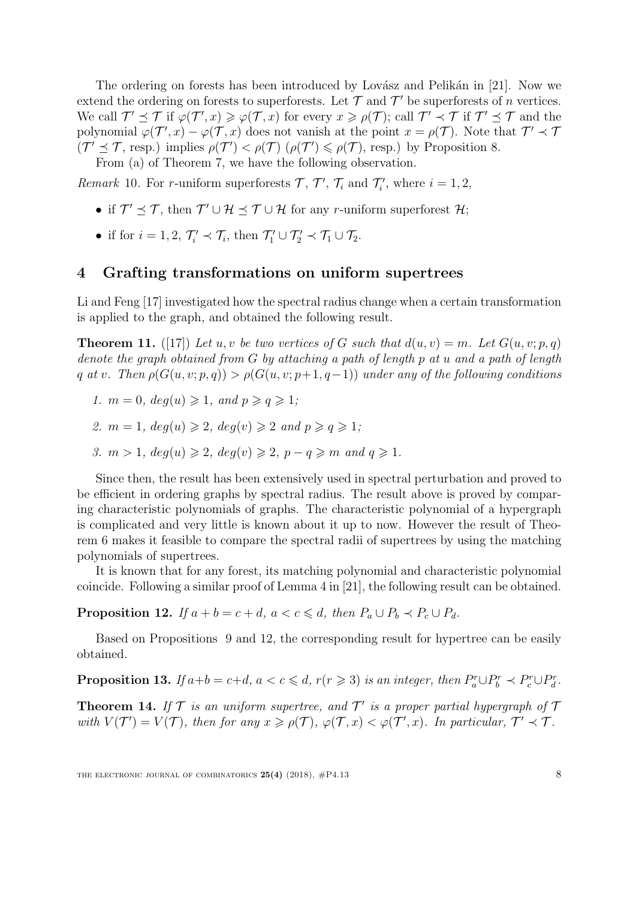The ordering on forests has been introduced by Lovász and Pelikán in [\[21\]](#page-22-1). Now we extend the ordering on forests to superforests. Let  $\mathcal T$  and  $\mathcal T'$  be superforests of n vertices. We call  $\mathcal{T}' \preceq \mathcal{T}$  if  $\varphi(\mathcal{T}', x) \geq \varphi(\mathcal{T}, x)$  for every  $x \geq \rho(\mathcal{T})$ ; call  $\mathcal{T}' \preceq \mathcal{T}$  if  $\mathcal{T}' \preceq \mathcal{T}$  and the polynomial  $\varphi(\mathcal{T}',x) - \varphi(\mathcal{T},x)$  does not vanish at the point  $x = \rho(\mathcal{T})$ . Note that  $\mathcal{T}' \prec \mathcal{T}$  $(\mathcal{T}' \preceq \mathcal{T}, \text{ resp.})$  implies  $\rho(\mathcal{T}') < \rho(\mathcal{T})$   $(\rho(\mathcal{T}') \leq \rho(\mathcal{T}), \text{ resp.})$  by Proposition [8.](#page-6-1)

From (a) of Theorem [7,](#page-5-0) we have the following observation.

Remark 10. For r-uniform superforests  $\mathcal{T}, \mathcal{T}', \mathcal{T}_i$  and  $\mathcal{T}'_i$ , where  $i = 1, 2,$ 

- if  $\mathcal{T}' \preceq \mathcal{T}$ , then  $\mathcal{T}' \cup \mathcal{H} \preceq \mathcal{T} \cup \mathcal{H}$  for any r-uniform superforest  $\mathcal{H}$ ;
- if for  $i = 1, 2, \mathcal{T}'_i \prec \mathcal{T}_i$ , then  $\mathcal{T}'_1 \cup \mathcal{T}'_2 \prec \mathcal{T}_1 \cup \mathcal{T}_2$ .

### 4 Grafting transformations on uniform supertrees

Li and Feng [\[17\]](#page-22-9) investigated how the spectral radius change when a certain transformation is applied to the graph, and obtained the following result.

**Theorem 11.** ([\[17\]](#page-22-9)) Let u, v be two vertices of G such that  $d(u, v) = m$ . Let  $G(u, v; p, q)$ denote the graph obtained from G by attaching a path of length p at u and a path of length q at v. Then  $\rho(G(u, v; p, q)) > \rho(G(u, v; p+1, q-1))$  under any of the following conditions

1.  $m = 0$ ,  $deg(u) \geq 1$ , and  $p \geq q \geq 1$ ;

- 2.  $m = 1$ ,  $deg(u) \geq 2$ ,  $deg(v) \geq 2$  and  $p \geq q \geq 1$ ;
- 3.  $m > 1$ ,  $deq(u) \geq 2$ ,  $deq(v) \geq 2$ ,  $p q \geq m$  and  $q \geq 1$ .

Since then, the result has been extensively used in spectral perturbation and proved to be efficient in ordering graphs by spectral radius. The result above is proved by comparing characteristic polynomials of graphs. The characteristic polynomial of a hypergraph is complicated and very little is known about it up to now. However the result of Theorem [6](#page-4-0) makes it feasible to compare the spectral radii of supertrees by using the matching polynomials of supertrees.

It is known that for any forest, its matching polynomial and characteristic polynomial coincide. Following a similar proof of Lemma 4 in [\[21\]](#page-22-1), the following result can be obtained.

<span id="page-7-0"></span>**Proposition 12.** If  $a + b = c + d$ ,  $a < c \leq d$ , then  $P_a \cup P_b \prec P_c \cup P_d$ .

Based on Propositions [9](#page-6-2) and [12,](#page-7-0) the corresponding result for hypertree can be easily obtained.

<span id="page-7-2"></span>**Proposition 13.** If  $a+b=c+d$ ,  $a < c \leq d$ ,  $r(r \geq 3)$  is an integer, then  $P_a^r \cup P_b^r \prec P_c^r \cup P_d^r$ .

<span id="page-7-1"></span>**Theorem 14.** If  $\mathcal T$  is an uniform supertree, and  $\mathcal T'$  is a proper partial hypergraph of  $\mathcal T$ with  $V(\mathcal{T}') = V(\mathcal{T})$ , then for any  $x \geq \rho(\mathcal{T}), \varphi(\mathcal{T}, x) < \varphi(\mathcal{T}', x)$ . In particular,  $\mathcal{T}' \prec \mathcal{T}$ .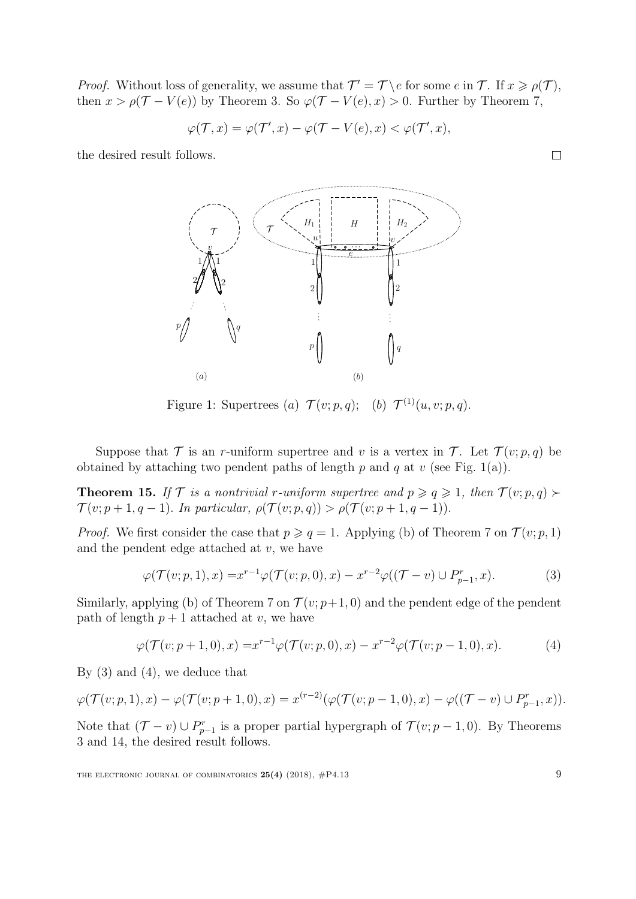*Proof.* Without loss of generality, we assume that  $\mathcal{T}' = \mathcal{T} \setminus e$  for some  $e$  in  $\mathcal{T}$ . If  $x \geq \rho(\mathcal{T})$ , then  $x > \rho(\mathcal{T} - V(e))$  by Theorem [3.](#page-3-0) So  $\varphi(\mathcal{T} - V(e), x) > 0$ . Further by Theorem [7,](#page-5-0)

$$
\varphi(\mathcal{T},x) = \varphi(\mathcal{T}',x) - \varphi(\mathcal{T} - V(e),x) < \varphi(\mathcal{T}',x),
$$

the desired result follows.



Figure 1: Supertrees (a)  $\mathcal{T}(v; p, q)$ ; (b)  $\mathcal{T}^{(1)}(u, v; p, q)$ .

Suppose that  $\mathcal T$  is an r-uniform supertree and v is a vertex in  $\mathcal T$ . Let  $\mathcal T(v; p, q)$  be obtained by attaching two pendent paths of length p and q at v (see Fig. 1(a)).

<span id="page-8-2"></span>**Theorem 15.** If  $\mathcal{T}$  is a nontrivial r-uniform supertree and  $p \geq q \geq 1$ , then  $\mathcal{T}(v; p, q)$  $\mathcal{T}(v; p+1, q-1)$ . In particular,  $\rho(\mathcal{T}(v; p, q)) > \rho(\mathcal{T}(v; p+1, q-1))$ .

*Proof.* We first consider the case that  $p \geq q = 1$ . Applying (b) of Theorem [7](#page-5-0) on  $\mathcal{T}(v; p, 1)$ and the pendent edge attached at  $v$ , we have

$$
\varphi(\mathcal{T}(v;p,1),x) = x^{r-1}\varphi(\mathcal{T}(v;p,0),x) - x^{r-2}\varphi((\mathcal{T}-v) \cup P_{p-1}^r,x). \tag{3}
$$

Similarly, applying (b) of Theorem [7](#page-5-0) on  $\mathcal{T}(v; p+1, 0)$  and the pendent edge of the pendent path of length  $p + 1$  attached at v, we have

$$
\varphi(\mathcal{T}(v; p+1, 0), x) = x^{r-1} \varphi(\mathcal{T}(v; p, 0), x) - x^{r-2} \varphi(\mathcal{T}(v; p-1, 0), x).
$$
 (4)

By [\(3\)](#page-8-0) and [\(4\)](#page-8-1), we deduce that

$$
\varphi(\mathcal{T}(v; p, 1), x) - \varphi(\mathcal{T}(v; p + 1, 0), x) = x^{(r-2)}(\varphi(\mathcal{T}(v; p - 1, 0), x) - \varphi((\mathcal{T} - v) \cup P_{p-1}^r, x)).
$$

Note that  $(\mathcal{T} - v) \cup P_{p-1}^r$  is a proper partial hypergraph of  $\mathcal{T}(v; p-1, 0)$ . By Theorems [3](#page-3-0) and [14,](#page-7-1) the desired result follows.

 $\Box$ 

<span id="page-8-1"></span><span id="page-8-0"></span>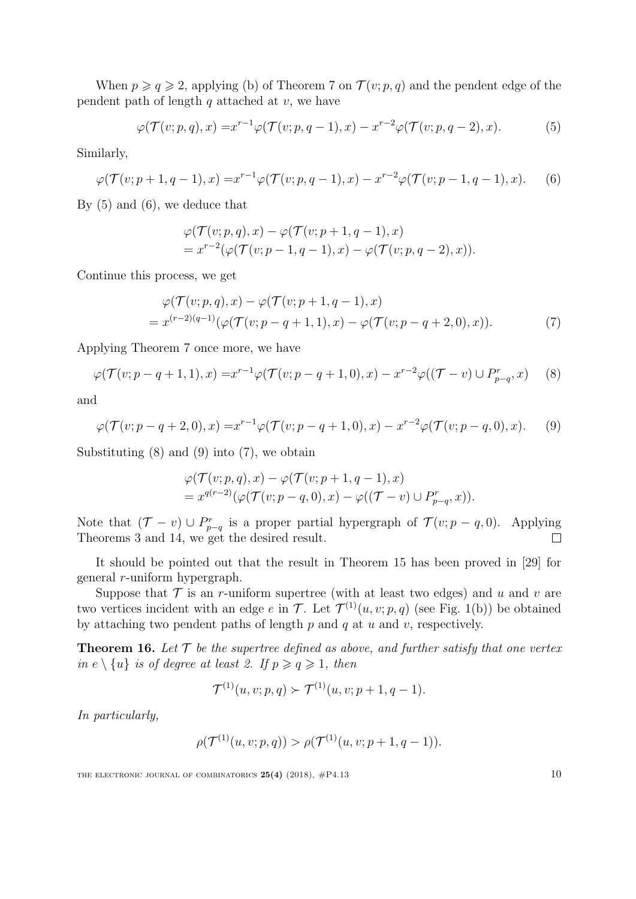When  $p \geqslant q \geqslant 2$ , applying (b) of Theorem [7](#page-5-0) on  $\mathcal{T}(v; p, q)$  and the pendent edge of the pendent path of length  $q$  attached at  $v$ , we have

$$
\varphi(\mathcal{T}(v;p,q),x) = x^{r-1}\varphi(\mathcal{T}(v;p,q-1),x) - x^{r-2}\varphi(\mathcal{T}(v;p,q-2),x). \tag{5}
$$

Similarly,

$$
\varphi(\mathcal{T}(v; p+1, q-1), x) = x^{r-1} \varphi(\mathcal{T}(v; p, q-1), x) - x^{r-2} \varphi(\mathcal{T}(v; p-1, q-1), x).
$$
 (6)

By [\(5\)](#page-9-0) and [\(6\)](#page-9-1), we deduce that

<span id="page-9-4"></span><span id="page-9-1"></span><span id="page-9-0"></span>
$$
\varphi(\mathcal{T}(v; p, q), x) - \varphi(\mathcal{T}(v; p+1, q-1), x)
$$
  
=  $x^{r-2}(\varphi(\mathcal{T}(v; p-1, q-1), x) - \varphi(\mathcal{T}(v; p, q-2), x)).$ 

Continue this process, we get

$$
\varphi(\mathcal{T}(v;p,q),x) - \varphi(\mathcal{T}(v;p+1,q-1),x) = x^{(r-2)(q-1)}(\varphi(\mathcal{T}(v;p-q+1,1),x) - \varphi(\mathcal{T}(v;p-q+2,0),x)).
$$
\n(7)

Applying Theorem [7](#page-5-0) once more, we have

$$
\varphi(\mathcal{T}(v; p-q+1, 1), x) = x^{r-1} \varphi(\mathcal{T}(v; p-q+1, 0), x) - x^{r-2} \varphi((\mathcal{T} - v) \cup P_{p-q}^r, x) \tag{8}
$$

and

$$
\varphi(\mathcal{T}(v; p-q+2, 0), x) = x^{r-1} \varphi(\mathcal{T}(v; p-q+1, 0), x) - x^{r-2} \varphi(\mathcal{T}(v; p-q, 0), x).
$$
 (9)

Substituting  $(8)$  and  $(9)$  into  $(7)$ , we obtain

<span id="page-9-3"></span><span id="page-9-2"></span>
$$
\varphi(\mathcal{T}(v; p, q), x) - \varphi(\mathcal{T}(v; p + 1, q - 1), x)
$$
  
=  $x^{q(r-2)}(\varphi(\mathcal{T}(v; p - q, 0), x) - \varphi((\mathcal{T} - v) \cup P_{p-q}^r, x)).$ 

Note that  $(\mathcal{T} - v) \cup P_{p-q}^r$  is a proper partial hypergraph of  $\mathcal{T}(v; p - q, 0)$ . Applying Theorems [3](#page-3-0) and [14,](#page-7-1) we get the desired result.

It should be pointed out that the result in Theorem [15](#page-8-2) has been proved in [\[29\]](#page-23-9) for general r-uniform hypergraph.

Suppose that  $\mathcal T$  is an r-uniform supertree (with at least two edges) and u and v are two vertices incident with an edge  $e$  in  $\mathcal{T}$ . Let  $\mathcal{T}^{(1)}(u, v; p, q)$  (see Fig. 1(b)) be obtained by attaching two pendent paths of length  $p$  and  $q$  at  $u$  and  $v$ , respectively.

<span id="page-9-5"></span>**Theorem 16.** Let  $\mathcal T$  be the supertree defined as above, and further satisfy that one vertex in  $e \setminus \{u\}$  is of degree at least 2. If  $p \geqslant q \geqslant 1$ , then

$$
\mathcal{T}^{(1)}(u,v;p,q) \succ \mathcal{T}^{(1)}(u,v;p+1,q-1).
$$

In particularly,

$$
\rho(\mathcal{T}^{(1)}(u,v;p,q)) > \rho(\mathcal{T}^{(1)}(u,v;p+1,q-1)).
$$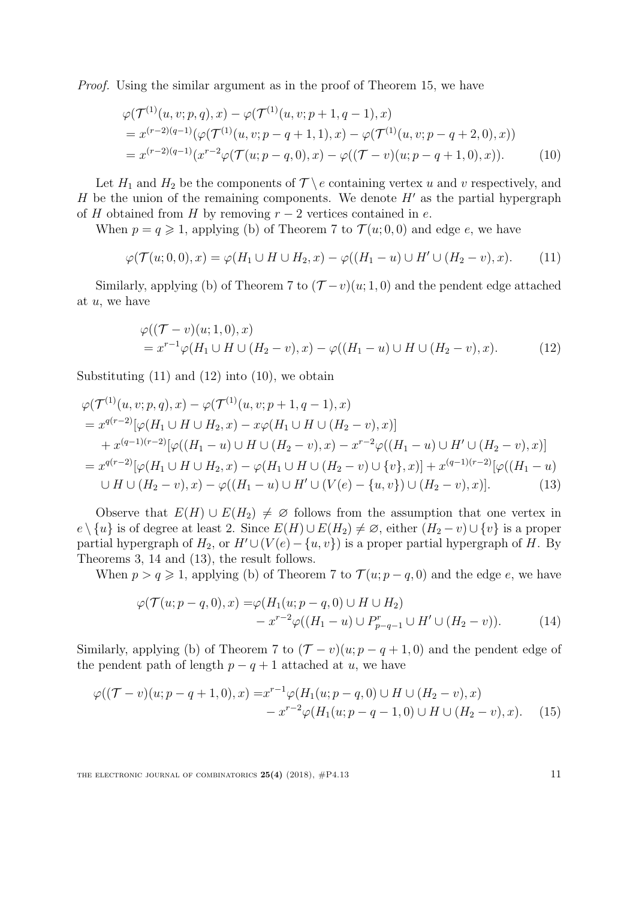Proof. Using the similar argument as in the proof of Theorem [15,](#page-8-2) we have

<span id="page-10-2"></span>
$$
\varphi(\mathcal{T}^{(1)}(u,v;p,q),x) - \varphi(\mathcal{T}^{(1)}(u,v;p+1,q-1),x)
$$
  
=  $x^{(r-2)(q-1)}(\varphi(\mathcal{T}^{(1)}(u,v;p-q+1,1),x) - \varphi(\mathcal{T}^{(1)}(u,v;p-q+2,0),x))$   
=  $x^{(r-2)(q-1)}(x^{r-2}\varphi(\mathcal{T}(u;p-q,0),x) - \varphi((\mathcal{T}-v)(u;p-q+1,0),x)).$  (10)

Let  $H_1$  and  $H_2$  be the components of  $\mathcal{T} \setminus e$  containing vertex u and v respectively, and H be the union of the remaining components. We denote  $H'$  as the partial hypergraph of H obtained from H by removing  $r-2$  vertices contained in e.

When  $p = q \geq 1$ , applying (b) of Theorem [7](#page-5-0) to  $\mathcal{T}(u; 0, 0)$  and edge e, we have

$$
\varphi(\mathcal{T}(u;0,0),x) = \varphi(H_1 \cup H \cup H_2,x) - \varphi((H_1 - u) \cup H' \cup (H_2 - v),x). \tag{11}
$$

Similarly, applying (b) of Theorem [7](#page-5-0) to  $(\mathcal{T}-v)(u;1,0)$  and the pendent edge attached at  $u$ , we have

<span id="page-10-1"></span><span id="page-10-0"></span>
$$
\varphi((\mathcal{T} - v)(u; 1, 0), x) = x^{r-1}\varphi(H_1 \cup H \cup (H_2 - v), x) - \varphi((H_1 - u) \cup H \cup (H_2 - v), x).
$$
 (12)

Substituting  $(11)$  and  $(12)$  into  $(10)$ , we obtain

$$
\varphi(\mathcal{T}^{(1)}(u,v;p,q),x) - \varphi(\mathcal{T}^{(1)}(u,v;p+1,q-1),x)
$$
  
=  $x^{q(r-2)}[\varphi(H_1 \cup H \cup H_2,x) - x\varphi(H_1 \cup H \cup (H_2 - v),x)]$   
+  $x^{(q-1)(r-2)}[\varphi((H_1 - u) \cup H \cup (H_2 - v),x) - x^{r-2}\varphi((H_1 - u) \cup H' \cup (H_2 - v),x)]$   
=  $x^{q(r-2)}[\varphi(H_1 \cup H \cup H_2,x) - \varphi(H_1 \cup H \cup (H_2 - v) \cup \{v\},x)] + x^{(q-1)(r-2)}[\varphi((H_1 - u) \cup H \cup (H_2 - v),x) - \varphi((H_1 - u) \cup H' \cup (V(e) - \{u,v\}) \cup (H_2 - v),x)].$  (13)

Observe that  $E(H) \cup E(H_2) \neq \emptyset$  follows from the assumption that one vertex in  $e \setminus \{u\}$  is of degree at least 2. Since  $E(H) \cup E(H_2) \neq \emptyset$ , either  $(H_2 - v) \cup \{v\}$  is a proper partial hypergraph of  $H_2$ , or  $H' \cup (V(e) - \{u, v\})$  is a proper partial hypergraph of H. By Theorems [3,](#page-3-0) [14](#page-7-1) and [\(13\)](#page-10-3), the result follows.

When  $p > q \ge 1$ , applying (b) of Theorem [7](#page-5-0) to  $\mathcal{T}(u; p - q, 0)$  and the edge e, we have

<span id="page-10-5"></span><span id="page-10-4"></span><span id="page-10-3"></span>
$$
\varphi(\mathcal{T}(u; p-q, 0), x) = \varphi(H_1(u; p-q, 0) \cup H \cup H_2)
$$
  
-  $x^{r-2}\varphi((H_1 - u) \cup P_{p-q-1}^r \cup H' \cup (H_2 - v)).$  (14)

Similarly, applying (b) of Theorem [7](#page-5-0) to  $(\mathcal{T} - v)(u; p - q + 1, 0)$  and the pendent edge of the pendent path of length  $p - q + 1$  attached at u, we have

$$
\varphi((\mathcal{T}-v)(u;p-q+1,0),x) = x^{r-1}\varphi(H_1(u;p-q,0) \cup H \cup (H_2-v),x)
$$
  

$$
- x^{r-2}\varphi(H_1(u;p-q-1,0) \cup H \cup (H_2-v),x). \tag{15}
$$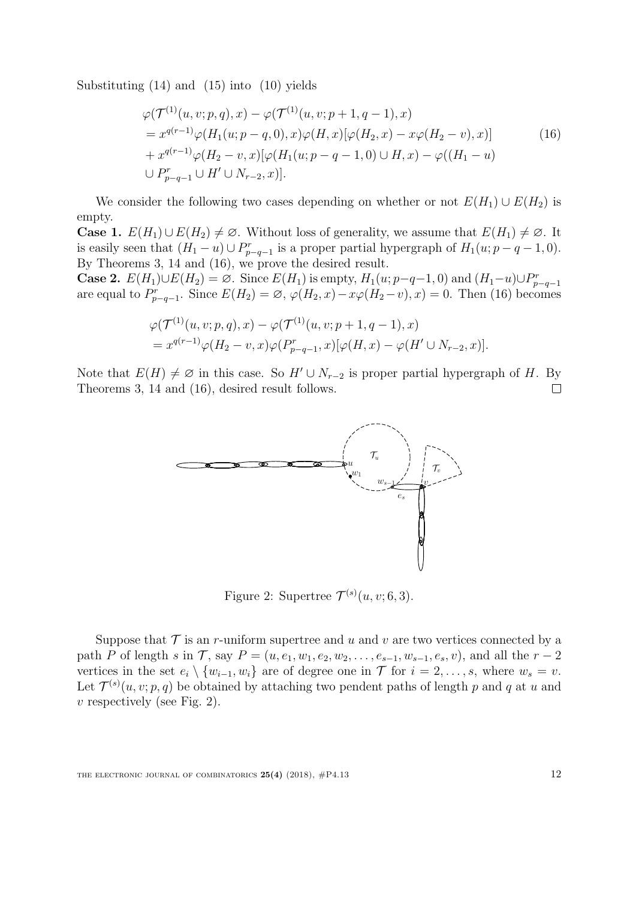Substituting  $(14)$  and  $(15)$  into  $(10)$  yields

<span id="page-11-0"></span>
$$
\varphi(\mathcal{T}^{(1)}(u, v; p, q), x) - \varphi(\mathcal{T}^{(1)}(u, v; p+1, q-1), x)
$$
  
=  $x^{q(r-1)}\varphi(H_1(u; p-q, 0), x)\varphi(H, x)[\varphi(H_2, x) - x\varphi(H_2 - v), x)]$   
+  $x^{q(r-1)}\varphi(H_2 - v, x)[\varphi(H_1(u; p-q-1, 0) \cup H, x) - \varphi((H_1 - u))$   
 $\cup P_{p-q-1}^r \cup H' \cup N_{r-2}, x)].$  (16)

We consider the following two cases depending on whether or not  $E(H_1) \cup E(H_2)$  is empty.

**Case 1.**  $E(H_1) \cup E(H_2) \neq \emptyset$ . Without loss of generality, we assume that  $E(H_1) \neq \emptyset$ . It is easily seen that  $(H_1 - u) \cup P_{p-q-1}^r$  is a proper partial hypergraph of  $H_1(u; p-q-1, 0)$ . By Theorems [3,](#page-3-0) [14](#page-7-1) and [\(16\)](#page-11-0), we prove the desired result.

**Case 2.**  $E(H_1) \cup E(H_2) = \emptyset$ . Since  $E(H_1)$  is empty,  $H_1(u; p-q-1, 0)$  and  $(H_1-u) \cup P_{p-q-1}^r$ are equal to  $P_{p-q-1}^r$ . Since  $E(H_2) = \emptyset$ ,  $\varphi(H_2, x) - x\varphi(H_2 - v)$ ,  $x) = 0$ . Then [\(16\)](#page-11-0) becomes

$$
\varphi(\mathcal{T}^{(1)}(u,v;p,q),x) - \varphi(\mathcal{T}^{(1)}(u,v;p+1,q-1),x) = x^{q(r-1)}\varphi(H_2-v,x)\varphi(P_{p-q-1}^r,x)[\varphi(H,x) - \varphi(H' \cup N_{r-2},x)].
$$

Note that  $E(H) \neq \emptyset$  in this case. So  $H' \cup N_{r-2}$  is proper partial hypergraph of H. By Theorems 3, 14 and (16), desired result follows. Theorems [3,](#page-3-0) [14](#page-7-1) and [\(16\)](#page-11-0), desired result follows.



Figure 2: Supertree  $\mathcal{T}^{(s)}(u,v;6,3)$ .

Suppose that  $\mathcal T$  is an r-uniform supertree and u and v are two vertices connected by a path P of length s in T, say  $P = (u, e_1, w_1, e_2, w_2, \ldots, e_{s-1}, w_{s-1}, e_s, v)$ , and all the  $r - 2$ vertices in the set  $e_i \setminus \{w_{i-1}, w_i\}$  are of degree one in  $\mathcal T$  for  $i = 2, \ldots, s$ , where  $w_s = v$ . Let  $\mathcal{T}^{(s)}(u, v; p, q)$  be obtained by attaching two pendent paths of length p and q at u and  $v$  respectively (see Fig. 2).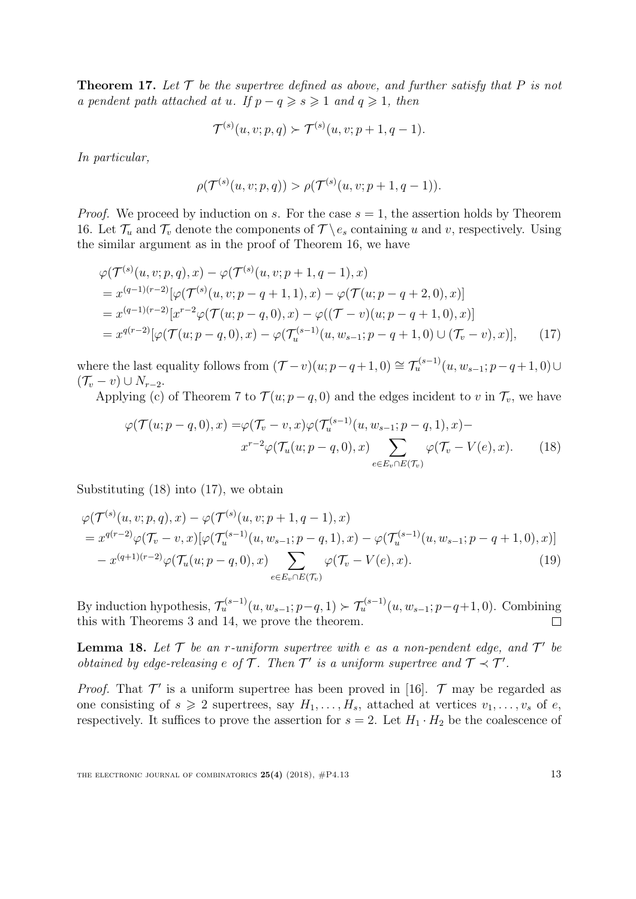**Theorem 17.** Let  $\mathcal T$  be the supertree defined as above, and further satisfy that P is not a pendent path attached at u. If  $p - q \geq s \geq 1$  and  $q \geq 1$ , then

$$
\mathcal{T}^{(s)}(u,v;p,q) \succ \mathcal{T}^{(s)}(u,v;p+1,q-1).
$$

In particular,

<span id="page-12-1"></span>
$$
\rho(\mathcal{T}^{(s)}(u,v;p,q)) > \rho(\mathcal{T}^{(s)}(u,v;p+1,q-1)).
$$

*Proof.* We proceed by induction on s. For the case  $s = 1$ , the assertion holds by Theorem [16.](#page-9-5) Let  $\mathcal{T}_u$  and  $\mathcal{T}_v$  denote the components of  $\mathcal{T} \backslash e_s$  containing u and v, respectively. Using the similar argument as in the proof of Theorem [16,](#page-9-5) we have

$$
\varphi(\mathcal{T}^{(s)}(u,v;p,q),x) - \varphi(\mathcal{T}^{(s)}(u,v;p+1,q-1),x)
$$
  
=  $x^{(q-1)(r-2)}[\varphi(\mathcal{T}^{(s)}(u,v;p-q+1,1),x) - \varphi(\mathcal{T}(u;p-q+2,0),x)]$   
=  $x^{(q-1)(r-2)}[x^{r-2}\varphi(\mathcal{T}(u;p-q,0),x) - \varphi((\mathcal{T}-v)(u;p-q+1,0),x)]$   
=  $x^{q(r-2)}[\varphi(\mathcal{T}(u;p-q,0),x) - \varphi(\mathcal{T}^{(s-1)}(u,w_{s-1};p-q+1,0) \cup (\mathcal{T}_v-v),x)],$  (17)

where the last equality follows from  $(\mathcal{T}-v)(u; p-q+1, 0) \cong \mathcal{T}_u^{(s-1)}(u, w_{s-1}; p-q+1, 0) \cup$  $(\mathcal{T}_v - v) \cup N_{r-2}.$ 

Applying (c) of Theorem [7](#page-5-0) to  $\mathcal{T}(u; p-q, 0)$  and the edges incident to v in  $\mathcal{T}_v$ , we have

<span id="page-12-0"></span>
$$
\varphi(\mathcal{T}(u; p-q, 0), x) = \varphi(\mathcal{T}_v - v, x)\varphi(\mathcal{T}_u^{(s-1)}(u, w_{s-1}; p-q, 1), x) - x^{r-2}\varphi(\mathcal{T}_u(u; p-q, 0), x) \sum_{e \in E_v \cap E(\mathcal{T}_v)} \varphi(\mathcal{T}_v - V(e), x).
$$
 (18)

Substituting [\(18\)](#page-12-0) into [\(17\)](#page-12-1), we obtain

$$
\varphi(\mathcal{T}^{(s)}(u,v;p,q),x) - \varphi(\mathcal{T}^{(s)}(u,v;p+1,q-1),x) \n= x^{q(r-2)} \varphi(\mathcal{T}_v - v,x) [\varphi(\mathcal{T}_u^{(s-1)}(u,w_{s-1};p-q,1),x) - \varphi(\mathcal{T}_u^{(s-1)}(u,w_{s-1};p-q+1,0),x)] \n- x^{(q+1)(r-2)} \varphi(\mathcal{T}_u(u;p-q,0),x) \sum_{e \in E_v \cap E(\mathcal{T}_v)} \varphi(\mathcal{T}_v - V(e),x).
$$
\n(19)

By induction hypothesis,  $\mathcal{T}_u^{(s-1)}(u, w_{s-1}; p-q, 1) \succ \mathcal{T}_u^{(s-1)}(u, w_{s-1}; p-q+1, 0)$ . Combining this with Theorems [3](#page-3-0) and [14,](#page-7-1) we prove the theorem.

<span id="page-12-2"></span>**Lemma 18.** Let  $\mathcal{T}$  be an r-uniform supertree with e as a non-pendent edge, and  $\mathcal{T}'$  be obtained by edge-releasing  $e$  of  $\mathcal T$ . Then  $\mathcal T'$  is a uniform supertree and  $\mathcal T \prec \mathcal T'$ .

*Proof.* That  $\mathcal{T}'$  is a uniform supertree has been proved in [\[16\]](#page-22-2).  $\mathcal{T}$  may be regarded as one consisting of  $s \geq 2$  supertrees, say  $H_1, \ldots, H_s$ , attached at vertices  $v_1, \ldots, v_s$  of  $e$ , respectively. It suffices to prove the assertion for  $s = 2$ . Let  $H_1 \cdot H_2$  be the coalescence of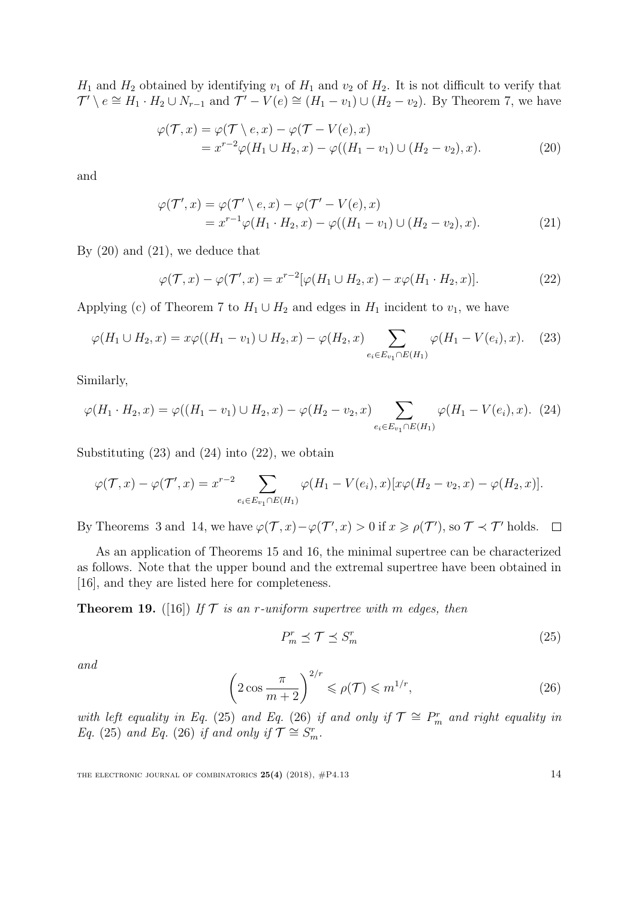$H_1$  and  $H_2$  obtained by identifying  $v_1$  of  $H_1$  and  $v_2$  of  $H_2$ . It is not difficult to verify that  $\mathcal{T}' \setminus e \cong H_1 \cdot H_2 \cup N_{r-1}$  and  $\mathcal{T}' - V(e) \cong (H_1 - v_1) \cup (H_2 - v_2)$ . By Theorem [7,](#page-5-0) we have

<span id="page-13-0"></span>
$$
\varphi(\mathcal{T},x) = \varphi(\mathcal{T} \setminus e,x) - \varphi(\mathcal{T} - V(e),x)
$$
  
=  $x^{r-2}\varphi(H_1 \cup H_2,x) - \varphi((H_1 - v_1) \cup (H_2 - v_2),x).$  (20)

and

<span id="page-13-1"></span>
$$
\varphi(\mathcal{T}',x) = \varphi(\mathcal{T}' \setminus e,x) - \varphi(\mathcal{T}' - V(e),x)
$$
  
=  $x^{r-1}\varphi(H_1 \cdot H_2, x) - \varphi((H_1 - v_1) \cup (H_2 - v_2), x).$  (21)

By  $(20)$  and  $(21)$ , we deduce that

<span id="page-13-4"></span><span id="page-13-2"></span>
$$
\varphi(\mathcal{T},x) - \varphi(\mathcal{T}',x) = x^{r-2}[\varphi(H_1 \cup H_2,x) - x\varphi(H_1 \cdot H_2,x)].
$$
\n(22)

Applying (c) of Theorem [7](#page-5-0) to  $H_1 \cup H_2$  and edges in  $H_1$  incident to  $v_1$ , we have

$$
\varphi(H_1 \cup H_2, x) = x\varphi((H_1 - v_1) \cup H_2, x) - \varphi(H_2, x) \sum_{e_i \in E_{v_1} \cap E(H_1)} \varphi(H_1 - V(e_i), x). \tag{23}
$$

Similarly,

$$
\varphi(H_1 \cdot H_2, x) = \varphi((H_1 - v_1) \cup H_2, x) - \varphi(H_2 - v_2, x) \sum_{e_i \in E_{v_1} \cap E(H_1)} \varphi(H_1 - V(e_i), x). \tag{24}
$$

Substituting  $(23)$  and  $(24)$  into  $(22)$ , we obtain

$$
\varphi(\mathcal{T},x) - \varphi(\mathcal{T}',x) = x^{r-2} \sum_{e_i \in E_{v_1} \cap E(H_1)} \varphi(H_1 - V(e_i),x) [x\varphi(H_2 - v_2,x) - \varphi(H_2,x)].
$$

By Theorems [3](#page-3-0) and [14,](#page-7-1) we have  $\varphi(\mathcal{T}, x) - \varphi(\mathcal{T}', x) > 0$  if  $x \geq \rho(\mathcal{T}')$ , so  $\mathcal{T} \prec \mathcal{T}'$  holds.  $\Box$ 

As an application of Theorems [15](#page-8-2) and [16,](#page-9-5) the minimal supertree can be characterized as follows. Note that the upper bound and the extremal supertree have been obtained in [\[16\]](#page-22-2), and they are listed here for completeness.

**Theorem 19.** ([\[16\]](#page-22-2)) If  $\mathcal T$  is an r-uniform supertree with m edges, then

<span id="page-13-5"></span><span id="page-13-3"></span>
$$
P_m^r \preceq \mathcal{T} \preceq S_m^r \tag{25}
$$

and

<span id="page-13-6"></span>
$$
\left(2\cos\frac{\pi}{m+2}\right)^{2/r} \leqslant \rho(\mathcal{T}) \leqslant m^{1/r},\tag{26}
$$

with left equality in Eq. [\(25\)](#page-13-5) and Eq. [\(26\)](#page-13-6) if and only if  $\mathcal{T} \cong P_m^r$  and right equality in Eq. [\(25\)](#page-13-5) and Eq. [\(26\)](#page-13-6) if and only if  $\mathcal{T} \cong S_m^r$ .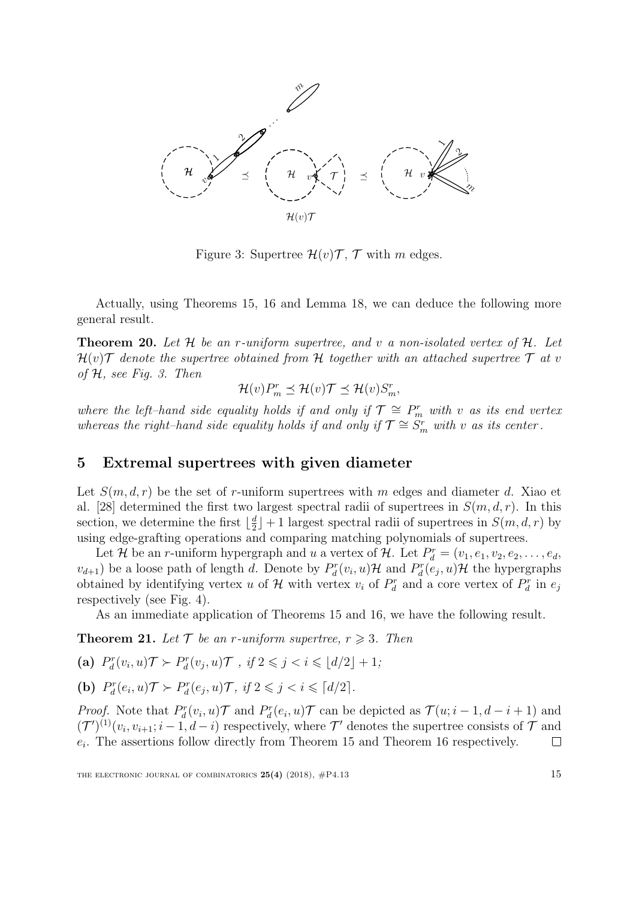

Figure 3: Supertree  $\mathcal{H}(v)\mathcal{T}, \mathcal{T}$  with m edges.

Actually, using Theorems [15,](#page-8-2) [16](#page-9-5) and Lemma [18,](#page-12-2) we can deduce the following more general result.

<span id="page-14-0"></span>**Theorem 20.** Let  $H$  be an r-uniform supertree, and v a non-isolated vertex of  $H$ . Let  $\mathcal{H}(v)\mathcal{T}$  denote the supertree obtained from H together with an attached supertree  $\mathcal{T}$  at v of  $H$ , see Fig. 3. Then

$$
\mathcal{H}(v)P_m^r \preceq \mathcal{H}(v)\mathcal{T} \preceq \mathcal{H}(v)S_m^r,
$$

where the left–hand side equality holds if and only if  $\mathcal{T} \cong P_m^r$  with v as its end vertex whereas the right–hand side equality holds if and only if  $\mathcal{T} \cong S_m^r$  with v as its center.

# 5 Extremal supertrees with given diameter

Let  $S(m, d, r)$  be the set of r-uniform supertrees with m edges and diameter d. Xiao et al. [\[28\]](#page-23-2) determined the first two largest spectral radii of supertrees in  $S(m, d, r)$ . In this section, we determine the first  $\lfloor \frac{d}{2} \rfloor$  $\frac{d}{2}$  + 1 largest spectral radii of supertrees in  $S(m, d, r)$  by using edge-grafting operations and comparing matching polynomials of supertrees.

Let H be an r-uniform hypergraph and u a vertex of H. Let  $P_d^r = (v_1, e_1, v_2, e_2, \ldots, e_d,$  $v_{d+1}$ ) be a loose path of length d. Denote by  $P_d^r(v_i, u)$  H and  $P_d^r(e_j, u)$  H the hypergraphs obtained by identifying vertex u of  $\mathcal H$  with vertex  $v_i$  of  $P_d^r$  and a core vertex of  $P_d^r$  in  $e_j$ respectively (see Fig. 4).

As an immediate application of Theorems [15](#page-8-2) and [16,](#page-9-5) we have the following result.

<span id="page-14-1"></span>**Theorem 21.** Let  $\mathcal{T}$  be an r-uniform supertree,  $r \geq 3$ . Then

(a) 
$$
P_d^r(v_i, u) \mathcal{T} \succ P_d^r(v_j, u) \mathcal{T}
$$
, if  $2 \leq j < i \leq \lfloor d/2 \rfloor + 1$ ;

**(b)** 
$$
P_d^r(e_i, u) \mathcal{T} \succ P_d^r(e_j, u) \mathcal{T}
$$
, if  $2 \leq j < i \leq \lceil d/2 \rceil$ .

*Proof.* Note that  $P_d^r(v_i, u)$  and  $P_d^r(e_i, u)$  can be depicted as  $\mathcal{T}(u; i - 1, d - i + 1)$  and  $(\mathcal{T}')^{(1)}(v_i, v_{i+1}; i-1, d-i)$  respectively, where  $\mathcal{T}'$  denotes the supertree consists of  $\mathcal{T}$  and  $e_i$ . The assertions follow directly from Theorem [15](#page-8-2) and Theorem [16](#page-9-5) respectively.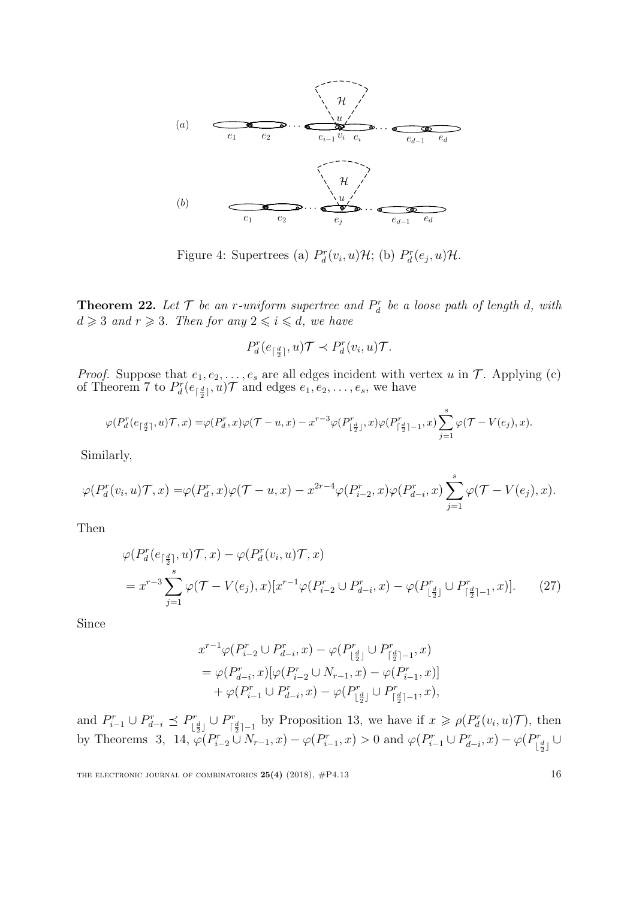

Figure 4: Supertrees (a)  $P_d^r(v_i, u)H$ ; (b)  $P_d^r(e_j, u)H$ .

**Theorem 22.** Let  $\mathcal{T}$  be an r-uniform supertree and  $P_d^r$  be a loose path of length d, with  $d \geqslant 3$  and  $r \geqslant 3$ . Then for any  $2 \leqslant i \leqslant d$ , we have

$$
P_d^r(e_{\lceil \frac{d}{2} \rceil}, u) \mathcal{T} \prec P_d^r(v_i, u) \mathcal{T}.
$$

*Proof.* Suppose that  $e_1, e_2, \ldots, e_s$  are all edges incident with vertex u in  $\mathcal T$ . Applying (c) of Theorem [7](#page-5-0) to  $P_d^r(e_{\lceil \frac{d}{2}\rceil}, u)$  and edges  $e_1, e_2, \ldots, e_s$ , we have

$$
\varphi(P_d^r(e_{\lceil \frac{d}{2} \rceil}, u) \mathcal{T}, x) = \varphi(P_d^r, x)\varphi(\mathcal{T} - u, x) - x^{r-3}\varphi(P_{\lfloor \frac{d}{2} \rfloor}^r, x)\varphi(P_{\lceil \frac{d}{2} \rceil - 1}^r, x) \sum_{j=1}^s \varphi(\mathcal{T} - V(e_j), x).
$$

Similarly,

$$
\varphi(P_d^r(v_i, u)\mathcal{T}, x) = \varphi(P_d^r, x)\varphi(\mathcal{T} - u, x) - x^{2r-4}\varphi(P_{i-2}^r, x)\varphi(P_{d-i}^r, x)\sum_{j=1}^s \varphi(\mathcal{T} - V(e_j), x).
$$

Then

$$
\varphi(P_d^r(e_{\lceil \frac{d}{2} \rceil}, u) \mathcal{T}, x) - \varphi(P_d^r(v_i, u) \mathcal{T}, x)
$$
  
=  $x^{r-3} \sum_{j=1}^s \varphi(\mathcal{T} - V(e_j), x)[x^{r-1}\varphi(P_{i-2}^r \cup P_{d-i}^r, x) - \varphi(P_{\lfloor \frac{d}{2} \rfloor}^r \cup P_{\lceil \frac{d}{2} \rceil-1}^r, x)].$  (27)

Since

<span id="page-15-0"></span>
$$
\begin{split} x^{r-1}\varphi(P_{i-2}^r\cup P_{d-i}^r,x) & -\varphi(P_{\lfloor \frac{d}{2}\rfloor}^{r}\cup P_{\lceil \frac{d}{2}\rceil-1}^r,x) \\ & = \varphi(P_{d-i}^r,x)[\varphi(P_{i-2}^r\cup N_{r-1},x) - \varphi(P_{i-1}^r,x)] \\ & + \varphi(P_{i-1}^r\cup P_{d-i}^r,x) - \varphi(P_{\lfloor \frac{d}{2}\rfloor}^r\cup P_{\lceil \frac{d}{2}\rceil-1}^r,x), \end{split}
$$

and  $P_{i-1}^r \cup P_{d-i}^r \preceq P_{\vert}^r$  $\sum_{\lfloor \frac{d}{2} \rfloor}^{p} \cup P_{\lceil}^r$  $\int_{\lceil \frac{d}{2} \rceil-1}^{p}$  by Proposition [13,](#page-7-2) we have if  $x \geq \rho(P_d^r(v_i, u)\mathcal{T})$ , then by Theorems [3,](#page-3-0) [14,](#page-7-1)  $\varphi(P_{i-1}^r \cup N_{r-1}, x) - \varphi(P_{i-1}^r, x) > 0$  and  $\varphi(P_{i-1}^r \cup P_{d-i}^r, x) - \varphi(P_{\vert}^r)$  $\left[\frac{d}{2}\right]$   $\cup$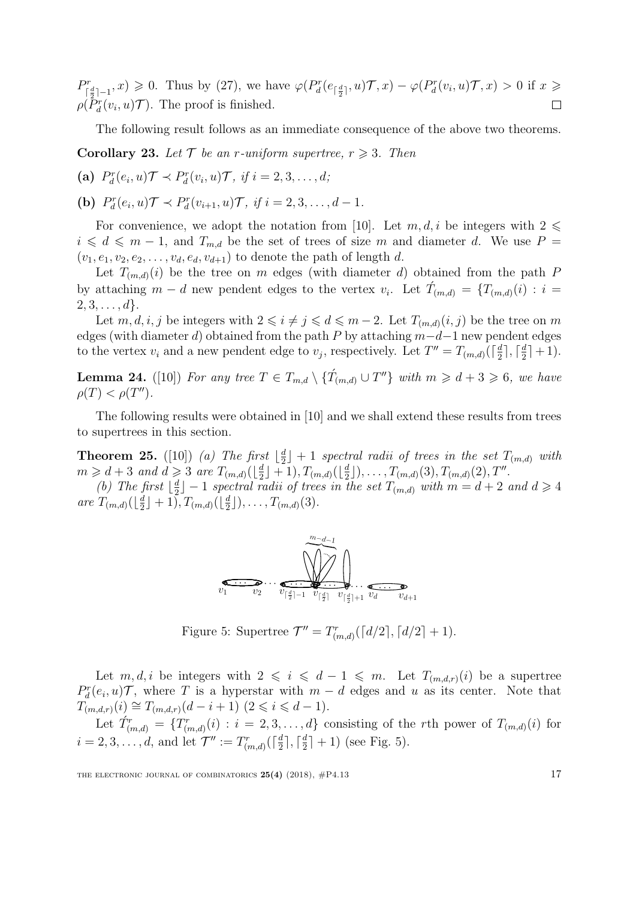$\varphi(P_d^r(e_{\lceil \frac{d}{2} \rceil}, u) \mathcal{T}, x) \geq 0$ . Thus by [\(27\)](#page-15-0), we have  $\varphi(P_d^r(e_{\lceil \frac{d}{2} \rceil}, u) \mathcal{T}, x) - \varphi(P_d^r(v_i, u) \mathcal{T}, x) > 0$  if  $x \geq 0$  $P_{\textrm{L}}^r$  $\rho(\tilde{P}_d^r(v_i, u)\mathcal{T})$ . The proof is finished.  $\Box$ 

The following result follows as an immediate consequence of the above two theorems.

<span id="page-16-2"></span>**Corollary 23.** Let  $\mathcal{T}$  be an r-uniform supertree,  $r \geq 3$ . Then

(a) 
$$
P_d^r(e_i, u) \mathcal{T} \prec P_d^r(v_i, u) \mathcal{T}
$$
, if  $i = 2, 3, ..., d$ ;

(**b**)  $P_d^r(e_i, u) \mathcal{T} \prec P_d^r(v_{i+1}, u) \mathcal{T}, \text{ if } i = 2, 3, ..., d - 1.$ 

For convenience, we adopt the notation from [\[10\]](#page-22-10). Let  $m, d, i$  be integers with  $2 \leq$  $i \leq d \leq m-1$ , and  $T_{m,d}$  be the set of trees of size m and diameter d. We use  $P =$  $(v_1, e_1, v_2, e_2, \ldots, v_d, e_d, v_{d+1})$  to denote the path of length d.

Let  $T_{(m,d)}(i)$  be the tree on m edges (with diameter d) obtained from the path P by attaching  $m - d$  new pendent edges to the vertex  $v_i$ . Let  $\hat{T}_{(m,d)} = \{T_{(m,d)}(i) : i =$  $2, 3, \ldots, d$ .

Let  $m, d, i, j$  be integers with  $2 \leq i \neq j \leq d \leq m-2$ . Let  $T_{(m,d)}(i,j)$  be the tree on m edges (with diameter d) obtained from the path P by attaching  $m-d-1$  new pendent edges to the vertex  $v_i$  and a new pendent edge to  $v_j$ , respectively. Let  $T'' = T_{(m,d)}(\lceil \frac{d}{2} \rceil)$  $\frac{d}{2}$ ],  $\lceil \frac{d}{2} \rceil$  $\frac{a}{2}$ ] + 1).

<span id="page-16-1"></span>**Lemma 24.** ([\[10\]](#page-22-10)) For any tree  $T \in T_{m,d} \setminus {\{\hat{T}_{(m,d)} \cup T''\}}$  with  $m \geq d+3 \geq 6$ , we have  $\rho(T) < \rho(T'').$ 

The following results were obtained in [\[10\]](#page-22-10) and we shall extend these results from trees to supertrees in this section.

<span id="page-16-3"></span>**Theorem 25.** ([\[10\]](#page-22-10)) (a) The first  $\lfloor \frac{d}{2} \rfloor$  $\frac{d}{2}$  + 1 spectral radii of trees in the set  $T_{(m,d)}$  with  $m \geq d+3$  and  $d \geqslant 3$  are  $T_{(m,d)}(\lfloor \frac{d}{2} \rfloor)$  $\frac{d}{2} \rfloor + 1), T_{(m,d)}(\lfloor \frac{d}{2} \rfloor)$  $(\frac{d}{2} \rfloor), \ldots, \underline{T}_{(m,d)}(3), \underline{T}_{(m,d)}(2), \underline{T}'' .$ 

(b) The first  $\lfloor \frac{d}{2} \rfloor$  $\lfloor \frac{d}{2} \rfloor - 1$  spectral radii of trees in the set  $T_{(m,d)}$  with  $m = d+2$  and  $d \geqslant 4$ are  $T_{(m,d)}(\lfloor \frac{d}{2} \rfloor)$  $\frac{d}{2}\rfloor+1), T_{(m,d)}(\lfloor \frac{d}{2} \rfloor)$  $\frac{d}{2} \rfloor$ ), ...,  $T_{(m,d)}(3)$ .



<span id="page-16-0"></span>Figure 5: Supertree  $\mathcal{T}'' = T^r_{(m,d)}(\lceil d/2 \rceil, \lceil d/2 \rceil + 1)$ .

Let  $m, d, i$  be integers with  $2 \leq i \leq d - 1 \leq m$ . Let  $T_{(m,d,r)}(i)$  be a supertree  $P_d^r(e_i, u)$ , where T is a hyperstar with  $m - d$  edges and u as its center. Note that  $T_{(m,d,r)}(i) \cong T_{(m,d,r)}(d-i+1)$   $(2 \leq i \leq d-1).$ 

Let  $\hat{T}_{(m,d)}^r = \{T_{(m,d)}^r(i) : i = 2, 3, \ldots, d\}$  consisting of the rth power of  $T_{(m,d)}(i)$  for  $i = 2, 3, \dots, d$ , and let  $\mathcal{T}'' := T^r_{(m,d)}(\lceil \frac{d}{2} \rceil)$  $\left[\frac{d}{2}\right], \left\lceil \frac{d}{2}\right\rceil$  $\frac{d}{2}$  + 1) (see Fig. [5\)](#page-16-0).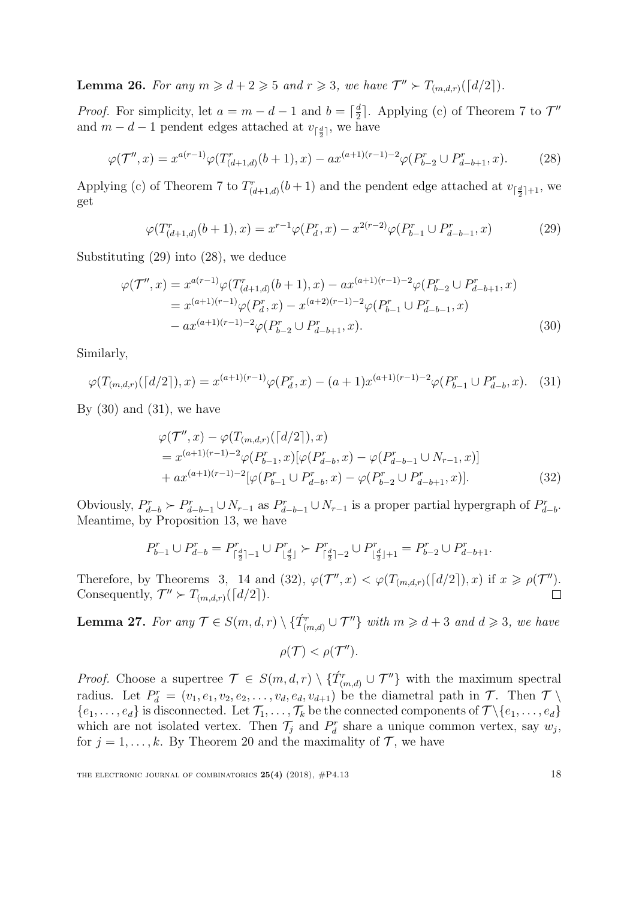<span id="page-17-5"></span>**Lemma 26.** For any  $m \geq d+2 \geq 5$  and  $r \geq 3$ , we have  $\mathcal{T}'' \succ T_{(m,d,r)}(\lceil d/2 \rceil)$ .

*Proof.* For simplicity, let  $a = m - d - 1$  and  $b = \lceil \frac{d}{2} \rceil$  $\frac{d}{2}$ . Applying (c) of Theorem [7](#page-5-0) to  $\mathcal{T}''$ and  $m-d-1$  pendent edges attached at  $v_{\lceil \frac{d}{2} \rceil}$ , we have

$$
\varphi(\mathcal{T}'',x) = x^{a(r-1)}\varphi(T^r_{(d+1,d)}(b+1),x) - ax^{(a+1)(r-1)-2}\varphi(P^r_{b-2} \cup P^r_{d-b+1},x). \tag{28}
$$

Applying (c) of Theorem [7](#page-5-0) to  $T^r_{(d+1,d)}(b+1)$  and the pendent edge attached at  $v_{\lceil \frac{d}{2}\rceil+1}$ , we get

<span id="page-17-1"></span><span id="page-17-0"></span>
$$
\varphi(T^r_{(d+1,d)}(b+1),x) = x^{r-1}\varphi(P^r_d,x) - x^{2(r-2)}\varphi(P^r_{b-1} \cup P^r_{d-b-1},x) \tag{29}
$$

Substituting [\(29\)](#page-17-0) into [\(28\)](#page-17-1), we deduce

$$
\varphi(\mathcal{T}'',x) = x^{a(r-1)}\varphi(T'_{(d+1,d)}(b+1),x) - ax^{(a+1)(r-1)-2}\varphi(P''_{b-2} \cup P''_{d-b+1},x)
$$
  
=  $x^{(a+1)(r-1)}\varphi(P''_d,x) - x^{(a+2)(r-1)-2}\varphi(P''_{b-1} \cup P''_{d-b-1},x)$   
-  $ax^{(a+1)(r-1)-2}\varphi(P''_{b-2} \cup P''_{d-b+1},x).$  (30)

Similarly,

$$
\varphi(T_{(m,d,r)}([d/2]),x) = x^{(a+1)(r-1)}\varphi(P_d^r,x) - (a+1)x^{(a+1)(r-1)-2}\varphi(P_{b-1}^r \cup P_{d-b}^r,x). \tag{31}
$$

By  $(30)$  and  $(31)$ , we have

<span id="page-17-2"></span>
$$
\varphi(\mathcal{T}'', x) - \varphi(T_{(m,d,r)}([d/2]), x)
$$
  
=  $x^{(a+1)(r-1)-2} \varphi(P_{b-1}^r, x) [\varphi(P_{d-b}^r, x) - \varphi(P_{d-b-1}^r \cup N_{r-1}, x)]$   
+  $ax^{(a+1)(r-1)-2} [\varphi(P_{b-1}^r \cup P_{d-b}^r, x) - \varphi(P_{b-2}^r \cup P_{d-b+1}^r, x)].$  (32)

Obviously,  $P_{d-b}^r \succ P_{d-b-1}^r \cup N_{r-1}$  as  $P_{d-b-1}^r \cup N_{r-1}$  is a proper partial hypergraph of  $P_{d-b}^r$ . Meantime, by Proposition [13,](#page-7-2) we have

$$
P_{b-1}^r \cup P_{d-b}^r = P_{\lceil \frac{d}{2} \rceil - 1}^r \cup P_{\lfloor \frac{d}{2} \rfloor}^r \succ P_{\lceil \frac{d}{2} \rceil - 2}^r \cup P_{\lfloor \frac{d}{2} \rfloor + 1}^r = P_{b-2}^r \cup P_{d-b+1}^r.
$$

Therefore, by Theorems [3,](#page-3-0) [14](#page-7-1) and [\(32\)](#page-17-4),  $\varphi(\mathcal{T}'',x) < \varphi(T_{(m,d,r)}([d/2]),x)$  if  $x \geq \rho(\mathcal{T}'').$ Consequently,  $\mathcal{T}'' \succ T_{(m,d,r)}(\lceil d/2 \rceil)$ .

<span id="page-17-6"></span>**Lemma 27.** For any  $\mathcal{T} \in S(m,d,r) \setminus {\hat{T}_{(m,d)}^r \cup \mathcal{T}''}$  with  $m \geq d+3$  and  $d \geq 3$ , we have

<span id="page-17-4"></span><span id="page-17-3"></span>
$$
\rho(\mathcal{T}) < \rho(\mathcal{T}'').
$$

*Proof.* Choose a supertree  $\mathcal{T} \in S(m,d,r) \setminus {\{\hat{T}_{(m,d)}^r \cup \mathcal{T}''\}}$  with the maximum spectral radius. Let  $P_d^r = (v_1, e_1, v_2, e_2, \ldots, v_d, e_d, v_{d+1})$  be the diametral path in  $\mathcal{T}$ . Then  $\mathcal{T} \setminus$  $\{e_1,\ldots,e_d\}$  is disconnected. Let  $\mathcal{T}_1,\ldots,\mathcal{T}_k$  be the connected components of  $\mathcal{T}\setminus\{e_1,\ldots,e_d\}$ which are not isolated vertex. Then  $\mathcal{T}_j$  and  $P_d^r$  share a unique common vertex, say  $w_j$ , for  $j = 1, ..., k$ . By Theorem [20](#page-14-0) and the maximality of  $\mathcal{T}$ , we have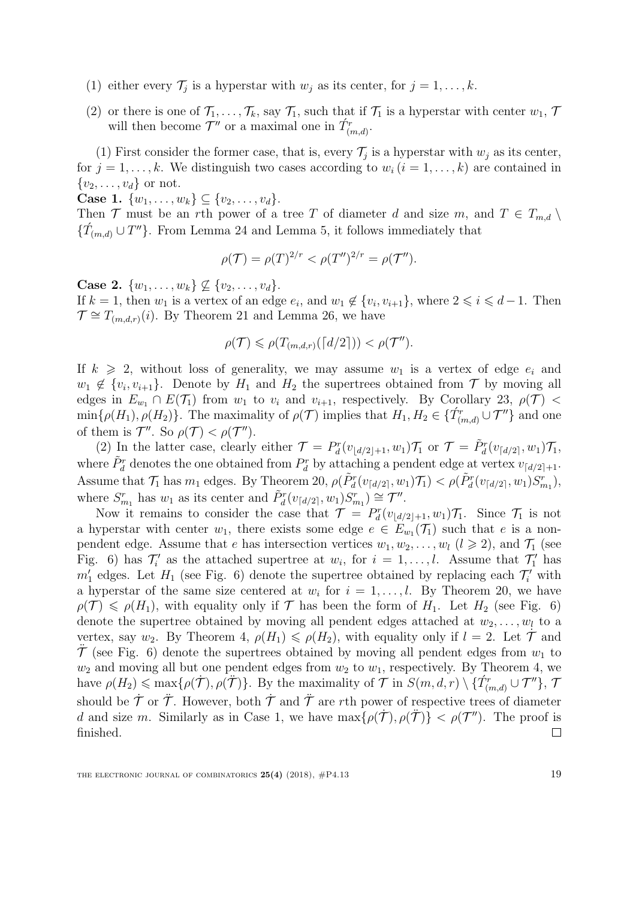- (1) either every  $\mathcal{T}_j$  is a hyperstar with  $w_j$  as its center, for  $j = 1, \ldots, k$ .
- (2) or there is one of  $\mathcal{T}_1, \ldots, \mathcal{T}_k$ , say  $\mathcal{T}_1$ , such that if  $\mathcal{T}_1$  is a hyperstar with center  $w_1, \mathcal{T}_2$ will then become  $\mathcal{T}''$  or a maximal one in  $\hat{T}_{(m,d)}^r$ .

(1) First consider the former case, that is, every  $\mathcal{T}_j$  is a hyperstar with  $w_j$  as its center, for  $j = 1, \ldots, k$ . We distinguish two cases according to  $w_i$   $(i = 1, \ldots, k)$  are contained in  $\{v_2, \ldots, v_d\}$  or not.

Case 1.  $\{w_1, \ldots, w_k\} \subseteq \{v_2, \ldots, v_d\}.$ 

Then T must be an rth power of a tree T of diameter d and size m, and  $T \in T_{m,d} \setminus T$  $\{\hat{T}_{(m,d)} \cup T''\}$ . From Lemma [24](#page-16-1) and Lemma [5,](#page-4-1) it follows immediately that

$$
\rho(\mathcal{T}) = \rho(T)^{2/r} < \rho(T'')^{2/r} = \rho(\mathcal{T}'').
$$

**Case 2.**  $\{w_1, \ldots, w_k\} \nsubseteq \{v_2, \ldots, v_d\}.$ 

If  $k = 1$ , then  $w_1$  is a vertex of an edge  $e_i$ , and  $w_1 \notin \{v_i, v_{i+1}\}$ , where  $2 \leq i \leq d-1$ . Then  $\mathcal{T} \cong T_{(m,d,r)}(i)$ . By Theorem [21](#page-14-1) and Lemma [26,](#page-17-5) we have

$$
\rho(\mathcal{T}) \leqslant \rho(T_{(m,d,r)}(\lceil d/2 \rceil)) < \rho(\mathcal{T}'').
$$

If  $k \geq 2$ , without loss of generality, we may assume  $w_1$  is a vertex of edge  $e_i$  and  $w_1 \notin \{v_i, v_{i+1}\}.$  Denote by  $H_1$  and  $H_2$  the supertrees obtained from  $\mathcal T$  by moving all edges in  $E_{w_1} \cap E(\mathcal{T}_1)$  from  $w_1$  to  $v_i$  and  $v_{i+1}$ , respectively. By Corollary [23,](#page-16-2)  $\rho(\mathcal{T})$  <  $\min\{\rho(H_1), \rho(H_2)\}\.$  The maximality of  $\rho(\mathcal{T})$  implies that  $H_1, H_2 \in \{T^r_{(m,d)} \cup \mathcal{T}''\}\$  and one of them is  $\mathcal{T}''$ . So  $\rho(\mathcal{T}) < \rho(\mathcal{T}'')$ .

(2) In the latter case, clearly either  $\mathcal{T} = P_d^r(v_{\lfloor d/2 \rfloor+1}, w_1) \mathcal{T}_1$  or  $\mathcal{T} = \tilde{P}_d^r(v_{\lfloor d/2 \rfloor}, w_1) \mathcal{T}_1$ , where  $\tilde{P}^r_d$  denotes the one obtained from  $P^r_d$  by attaching a pendent edge at vertex  $v_{\lceil d/2 \rceil + 1}$ . Assume that  $\mathcal{T}_1$  has  $m_1$  edges. By Theorem [20,](#page-14-0)  $\rho(\tilde{P}_d^r(v_{\lceil d/2 \rceil}, w_1) \mathcal{T}_1) < \rho(\tilde{P}_d^r(v_{\lceil d/2 \rceil}, w_1) S_{m_1}^r)$ , where  $S_{m_1}^r$  has  $w_1$  as its center and  $\tilde{P}_d^r(v_{\lceil d/2 \rceil}, w_1) S_{m_1}^r) \cong \mathcal{T}''$ .

Now it remains to consider the case that  $\mathcal{T} = P_d^r(v_{\lfloor d/2 \rfloor+1}, w_1) \mathcal{T}_1$ . Since  $\mathcal{T}_1$  is not a hyperstar with center  $w_1$ , there exists some edge  $e \in E_{w_1}(\mathcal{T}_1)$  such that e is a nonpendent edge. Assume that e has intersection vertices  $w_1, w_2, \ldots, w_l$   $(l \geq 2)$ , and  $\mathcal{T}_1$  (see Fig. 6) has  $\mathcal{T}'_i$  as the attached supertree at  $w_i$ , for  $i = 1, \ldots, l$ . Assume that  $\mathcal{T}'_1$  has  $m'_1$  edges. Let  $H_1$  (see Fig. 6) denote the supertree obtained by replacing each  $\mathcal{T}'_i$  with a hyperstar of the same size centered at  $w_i$  for  $i = 1, \ldots, l$ . By Theorem [20,](#page-14-0) we have  $\rho(\mathcal{T}) \leq \rho(H_1)$ , with equality only if  $\mathcal T$  has been the form of  $H_1$ . Let  $H_2$  (see Fig. 6) denote the supertree obtained by moving all pendent edges attached at  $w_2, \ldots, w_l$  to a vertex, say  $w_2$ . By Theorem [4,](#page-4-2)  $\rho(H_1) \leq \rho(H_2)$ , with equality only if  $l = 2$ . Let  $\mathcal T$  and  $\mathcal{T}$  (see Fig. 6) denote the supertrees obtained by moving all pendent edges from  $w_1$  to  $w_2$  and moving all but one pendent edges from  $w_2$  to  $w_1$ , respectively. By Theorem [4,](#page-4-2) we have  $\rho(H_2) \leqslant \max\{\rho(\dot{\mathcal{T}}), \rho(\ddot{\mathcal{T}})\}\.$  By the maximality of  $\mathcal{T}$  in  $S(m, d, r) \setminus \{\dot{T}^r_{(m,d)} \cup \mathcal{T}''\},\, \mathcal{T}$ should be  $\dot{\mathcal{T}}$  or  $\ddot{\mathcal{T}}$ . However, both  $\dot{\mathcal{T}}$  and  $\ddot{\mathcal{T}}$  are rth power of respective trees of diameter d and size m. Similarly as in Case 1, we have  $\max\{\rho(\dot{\mathcal{T}}), \rho(\ddot{\mathcal{T}})\} < \rho(\mathcal{T}'')$ . The proof is finished.  $\Box$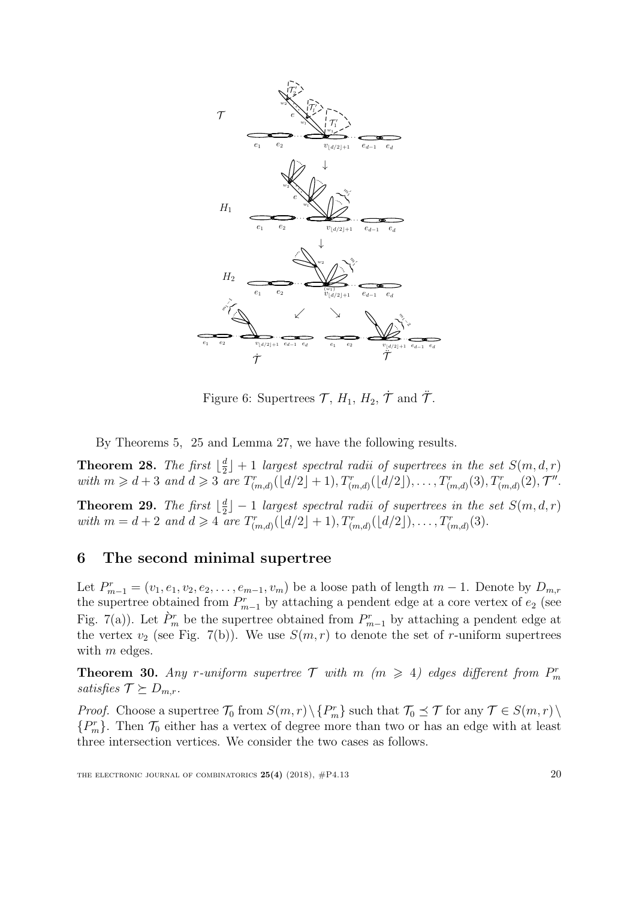

Figure 6: Supertrees  $\mathcal{T}, H_1, H_2, \dot{\mathcal{T}}$  and  $\ddot{\mathcal{T}}$ .

By Theorems [5,](#page-4-1) [25](#page-16-3) and Lemma [27,](#page-17-6) we have the following results.

**Theorem 28.** The first  $\lfloor \frac{d}{2} \rfloor$  $\frac{d}{2}$  + 1 largest spectral radii of supertrees in the set  $S(m, d, r)$ with  $m \geq d+3$  and  $d \geq 3$  are  $T^r_{(m,d)}(d/2+1), T^r_{(m,d)}(d/2), \ldots, T^r_{(m,d)}(3), T^r_{(m,d)}(2), \mathcal{T}''$ .

**Theorem 29.** The first  $\lfloor \frac{d}{2} \rfloor$  $\frac{d}{2}$  – 1 largest spectral radii of supertrees in the set  $S(m, d, r)$ with  $m = d + 2$  and  $d \ge 4$  are  $T^r_{(m,d)}(d/2 + 1), T^r_{(m,d)}(d/2), \ldots, T^r_{(m,d)}(3)$ .

# 6 The second minimal supertree

Let  $P_{m-1}^r = (v_1, e_1, v_2, e_2, \ldots, e_{m-1}, v_m)$  be a loose path of length  $m-1$ . Denote by  $D_{m,r}$ the supertree obtained from  $P_{m-1}^r$  by attaching a pendent edge at a core vertex of  $e_2$  (see Fig. 7(a)). Let  $\hat{P}_m^r$  be the supertree obtained from  $P_{m-1}^r$  by attaching a pendent edge at the vertex  $v_2$  (see Fig. 7(b)). We use  $S(m, r)$  to denote the set of r-uniform supertrees with  $m$  edges.

**Theorem 30.** Any r-uniform supertree  $T$  with  $m$  ( $m \geq 4$ ) edges different from  $P_m^r$ satisfies  $\mathcal{T} \succeq D_{m,r}$ .

*Proof.* Choose a supertree  $\mathcal{T}_0$  from  $S(m,r) \setminus \{P_m^r\}$  such that  $\mathcal{T}_0 \preceq \mathcal{T}$  for any  $\mathcal{T} \in S(m,r) \setminus$  ${P_m^r}$ . Then  $\mathcal{T}_0$  either has a vertex of degree more than two or has an edge with at least three intersection vertices. We consider the two cases as follows.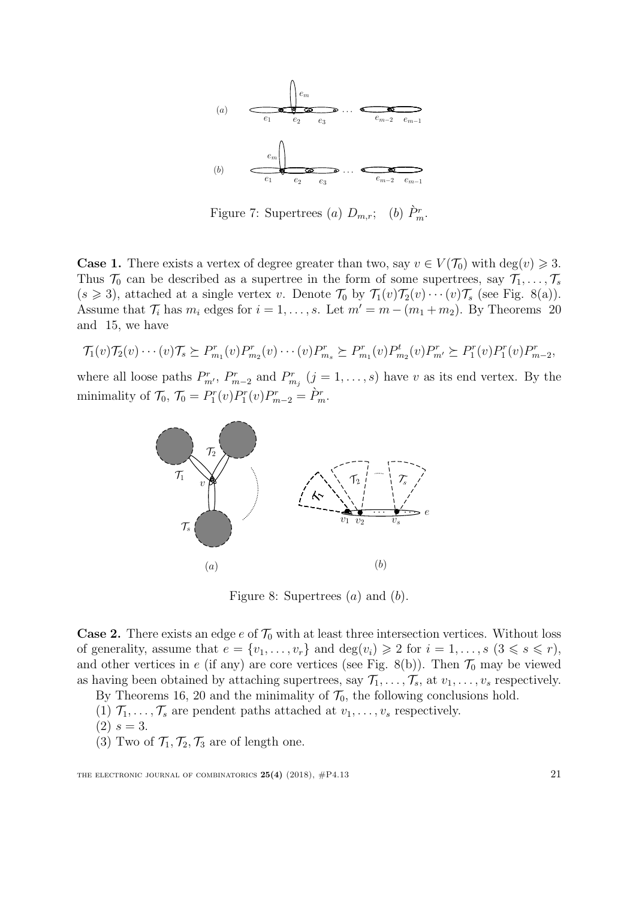

Figure 7: Supertrees (a)  $D_{m,r}$ ; (b)  $\dot{P}_m^r$ .

**Case 1.** There exists a vertex of degree greater than two, say  $v \in V(\mathcal{T}_0)$  with  $\text{deg}(v) \geq 3$ . Thus  $\mathcal{T}_0$  can be described as a supertree in the form of some supertrees, say  $\mathcal{T}_1, \ldots, \mathcal{T}_s$  $(s \geq 3)$ , attached at a single vertex v. Denote  $\mathcal{T}_0$  by  $\mathcal{T}_1(v)\mathcal{T}_2(v)\cdots(v)\mathcal{T}_s$  (see Fig. 8(a)). Assume that  $\mathcal{T}_i$  has  $m_i$  edges for  $i = 1, \ldots, s$ . Let  $m' = m - (m_1 + m_2)$ . By Theorems [20](#page-14-0) and [15,](#page-8-2) we have

$$
\mathcal{T}_1(v)\mathcal{T}_2(v)\cdots(v)\mathcal{T}_s \succeq P_{m_1}^r(v)P_{m_2}^r(v)\cdots(v)P_{m_s}^r \succeq P_{m_1}^r(v)P_{m_2}^t(v)P_{m'}^r \succeq P_1^r(v)P_1^r(v)P_{m-2}^r,
$$

where all loose paths  $P_{m}^{r}$ ,  $P_{m-2}^{r}$  and  $P_{m_j}^{r}$   $(j = 1, ..., s)$  have v as its end vertex. By the minimality of  $\mathcal{T}_0$ ,  $\mathcal{T}_0 = P_1^r(v) P_1^r(v) P_{m-2}^r = \dot{P}_m^r$ .



Figure 8: Supertrees  $(a)$  and  $(b)$ .

**Case 2.** There exists an edge e of  $\mathcal{T}_0$  with at least three intersection vertices. Without loss of generality, assume that  $e = \{v_1, \ldots, v_r\}$  and  $\deg(v_i) \geq 2$  for  $i = 1, \ldots, s \ (3 \leq s \leq r),$ and other vertices in e (if any) are core vertices (see Fig. 8(b)). Then  $\mathcal{T}_0$  may be viewed as having been obtained by attaching supertrees, say  $\mathcal{T}_1, \ldots, \mathcal{T}_s$ , at  $v_1, \ldots, v_s$  respectively.

By Theorems [16,](#page-9-5) [20](#page-14-0) and the minimality of  $\mathcal{T}_0$ , the following conclusions hold.

- (1)  $\mathcal{T}_1, \ldots, \mathcal{T}_s$  are pendent paths attached at  $v_1, \ldots, v_s$  respectively.
- $(2) s = 3.$
- (3) Two of  $\mathcal{T}_1, \mathcal{T}_2, \mathcal{T}_3$  are of length one.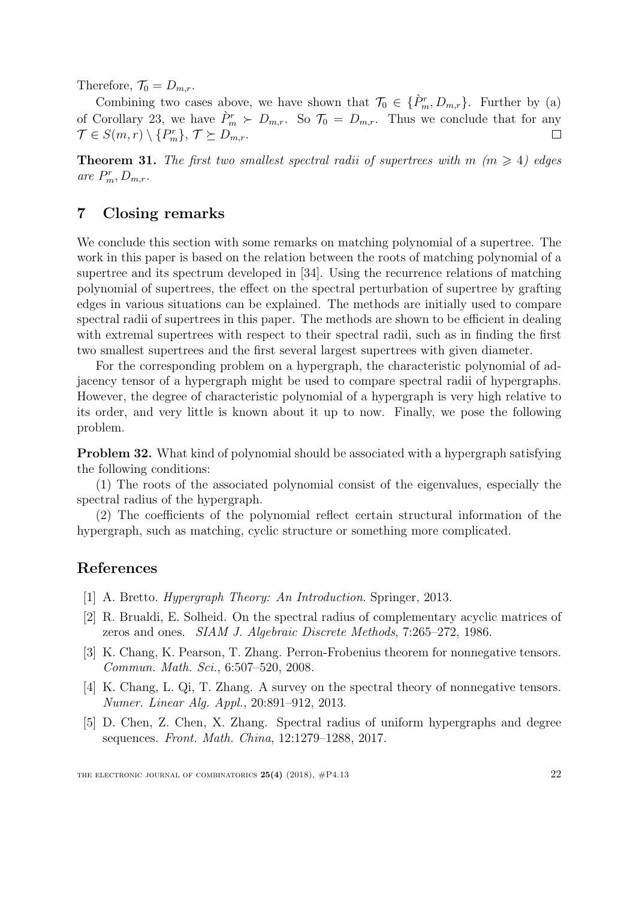Therefore,  $\mathcal{T}_0 = D_{m,r}$ .

Combining two cases above, we have shown that  $\mathcal{T}_0 \in \{\hat{P}_m^r, D_{m,r}\}.$  Further by (a) of Corollary [23,](#page-16-2) we have  $\hat{P}_m^r \succ D_{m,r}$ . So  $\mathcal{T}_0 = D_{m,r}$ . Thus we conclude that for any  $\mathcal{T} \in S(m,r) \setminus \{P_m^r\}, \mathcal{T} \succeq D_{m,r}.$ 

**Theorem 31.** The first two smallest spectral radii of supertrees with  $m \ (m \geq 4)$  edges are  $P_m^r, D_{m,r}.$ 

# 7 Closing remarks

We conclude this section with some remarks on matching polynomial of a supertree. The work in this paper is based on the relation between the roots of matching polynomial of a supertree and its spectrum developed in [\[34\]](#page-23-8). Using the recurrence relations of matching polynomial of supertrees, the effect on the spectral perturbation of supertree by grafting edges in various situations can be explained. The methods are initially used to compare spectral radii of supertrees in this paper. The methods are shown to be efficient in dealing with extremal supertrees with respect to their spectral radii, such as in finding the first two smallest supertrees and the first several largest supertrees with given diameter.

For the corresponding problem on a hypergraph, the characteristic polynomial of adjacency tensor of a hypergraph might be used to compare spectral radii of hypergraphs. However, the degree of characteristic polynomial of a hypergraph is very high relative to its order, and very little is known about it up to now. Finally, we pose the following problem.

Problem 32. What kind of polynomial should be associated with a hypergraph satisfying the following conditions:

(1) The roots of the associated polynomial consist of the eigenvalues, especially the spectral radius of the hypergraph.

(2) The coefficients of the polynomial reflect certain structural information of the hypergraph, such as matching, cyclic structure or something more complicated.

# References

- [1] A. Bretto. Hypergraph Theory: An Introduction. Springer, 2013.
- <span id="page-21-0"></span>[2] R. Brualdi, E. Solheid. On the spectral radius of complementary acyclic matrices of zeros and ones. SIAM J. Algebraic Discrete Methods, 7:265–272, 1986.
- [3] K. Chang, K. Pearson, T. Zhang. Perron-Frobenius theorem for nonnegative tensors. Commun. Math. Sci., 6:507–520, 2008.
- [4] K. Chang, L. Qi, T. Zhang. A survey on the spectral theory of nonnegative tensors. Numer. Linear Alg. Appl., 20:891–912, 2013.
- [5] D. Chen, Z. Chen, X. Zhang. Spectral radius of uniform hypergraphs and degree sequences. Front. Math. China, 12:1279–1288, 2017.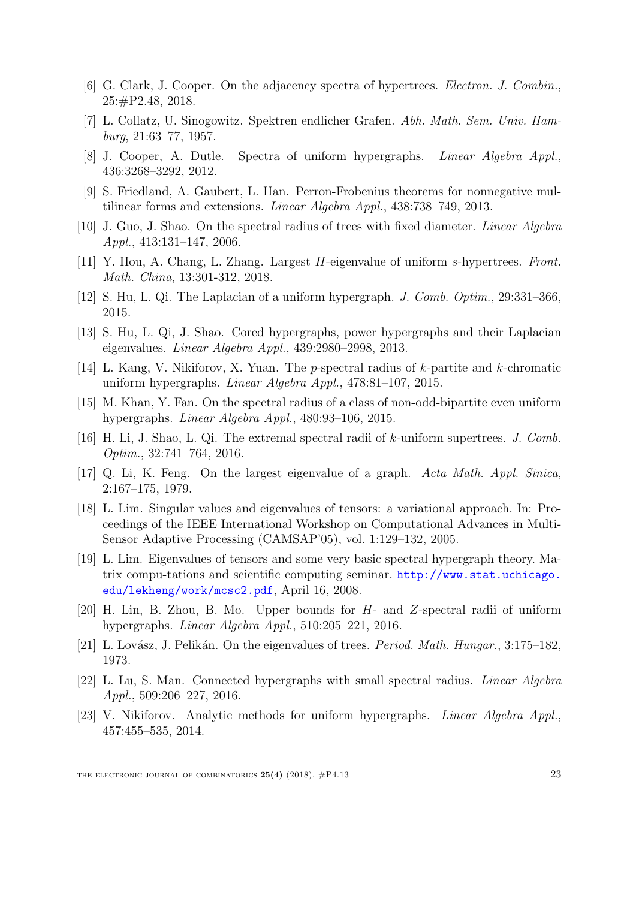- <span id="page-22-8"></span>[6] G. Clark, J. Cooper. On the adjacency spectra of hypertrees. Electron. J. Combin., 25:#P2.48, 2018.
- <span id="page-22-0"></span>[7] L. Collatz, U. Sinogowitz. Spektren endlicher Grafen. Abh. Math. Sem. Univ. Hamburg, 21:63–77, 1957.
- <span id="page-22-5"></span>[8] J. Cooper, A. Dutle. Spectra of uniform hypergraphs. Linear Algebra Appl., 436:3268–3292, 2012.
- <span id="page-22-6"></span>[9] S. Friedland, A. Gaubert, L. Han. Perron-Frobenius theorems for nonnegative multilinear forms and extensions. Linear Algebra Appl., 438:738–749, 2013.
- <span id="page-22-10"></span>[10] J. Guo, J. Shao. On the spectral radius of trees with fixed diameter. Linear Algebra Appl., 413:131–147, 2006.
- [11] Y. Hou, A. Chang, L. Zhang. Largest H-eigenvalue of uniform s-hypertrees. Front. Math. China, 13:301-312, 2018.
- [12] S. Hu, L. Qi. The Laplacian of a uniform hypergraph. J. Comb. Optim., 29:331–366, 2015.
- <span id="page-22-3"></span>[13] S. Hu, L. Qi, J. Shao. Cored hypergraphs, power hypergraphs and their Laplacian eigenvalues. Linear Algebra Appl., 439:2980–2998, 2013.
- [14] L. Kang, V. Nikiforov, X. Yuan. The p-spectral radius of k-partite and k-chromatic uniform hypergraphs. Linear Algebra Appl., 478:81–107, 2015.
- <span id="page-22-7"></span>[15] M. Khan, Y. Fan. On the spectral radius of a class of non-odd-bipartite even uniform hypergraphs. Linear Algebra Appl., 480:93–106, 2015.
- <span id="page-22-2"></span>[16] H. Li, J. Shao, L. Qi. The extremal spectral radii of k-uniform supertrees. J. Comb. Optim., 32:741–764, 2016.
- <span id="page-22-9"></span>[17] Q. Li, K. Feng. On the largest eigenvalue of a graph. Acta Math. Appl. Sinica, 2:167–175, 1979.
- <span id="page-22-4"></span>[18] L. Lim. Singular values and eigenvalues of tensors: a variational approach. In: Proceedings of the IEEE International Workshop on Computational Advances in Multi-Sensor Adaptive Processing (CAMSAP'05), vol. 1:129–132, 2005.
- [19] L. Lim. Eigenvalues of tensors and some very basic spectral hypergraph theory. Matrix compu-tations and scientific computing seminar. [http://www.stat.uchicago.](http://www.stat.uchicago. edu/lekheng/work/mcsc2.pdf) [edu/lekheng/work/mcsc2.pdf](http://www.stat.uchicago. edu/lekheng/work/mcsc2.pdf), April 16, 2008.
- [20] H. Lin, B. Zhou, B. Mo. Upper bounds for H- and Z-spectral radii of uniform hypergraphs. Linear Algebra Appl., 510:205–221, 2016.
- <span id="page-22-1"></span>[21] L. Lovász, J. Pelikán. On the eigenvalues of trees. *Period. Math. Hungar.*, 3:175–182, 1973.
- [22] L. Lu, S. Man. Connected hypergraphs with small spectral radius. Linear Algebra Appl., 509:206–227, 2016.
- [23] V. Nikiforov. Analytic methods for uniform hypergraphs. Linear Algebra Appl., 457:455–535, 2014.